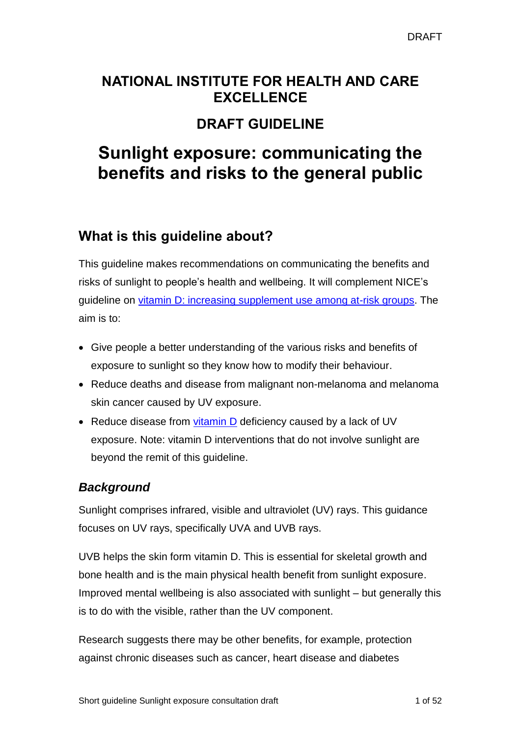## **NATIONAL INSTITUTE FOR HEALTH AND CARE EXCELLENCE**

## **DRAFT GUIDELINE**

# **Sunlight exposure: communicating the benefits and risks to the general public**

## <span id="page-0-0"></span>**What is this guideline about?**

This guideline makes recommendations on communicating the benefits and risks of sunlight to people's health and wellbeing. It will complement NICE's guideline on vitamin [D: increasing supplement use among at-risk groups.](https://www.nice.org.uk/guidance/ph56) The aim is to:

- Give people a better understanding of the various risks and benefits of exposure to sunlight so they know how to modify their behaviour.
- Reduce deaths and disease from malignant non-melanoma and melanoma skin cancer caused by UV exposure.
- Reduce disease from [vitamin](#page-30-0) D deficiency caused by a lack of UV exposure. Note: vitamin D interventions that do not involve sunlight are beyond the remit of this guideline.

## <span id="page-0-1"></span>*Background*

Sunlight comprises infrared, visible and ultraviolet (UV) rays. This guidance focuses on UV rays, specifically UVA and UVB rays.

UVB helps the skin form vitamin D. This is essential for skeletal growth and bone health and is the main physical health benefit from sunlight exposure. Improved mental wellbeing is also associated with sunlight – but generally this is to do with the visible, rather than the UV component.

Research suggests there may be other benefits, for example, protection against chronic diseases such as cancer, heart disease and diabetes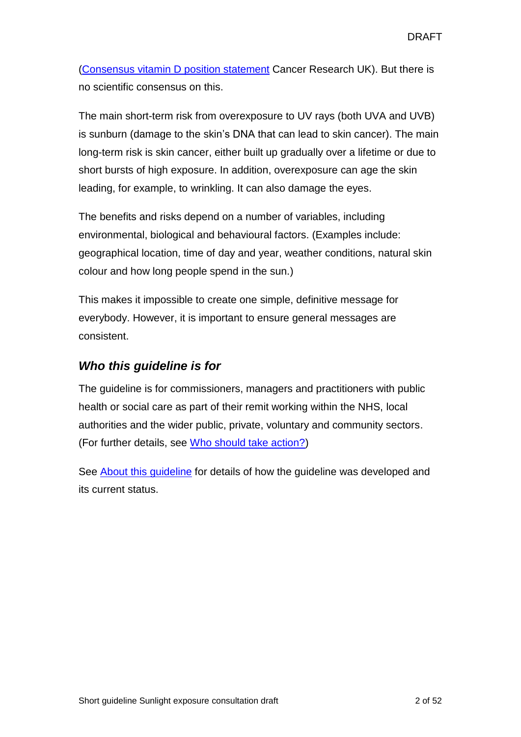(Consensus vitamin D [position statement](http://www.cancerresearchuk.org/about-us/cancer-news/news-report/2010-12-16-joint-position-statement-issued-to-provide-vitamin-d-clarity) Cancer Research UK). But there is no scientific consensus on this.

The main short-term risk from overexposure to UV rays (both UVA and UVB) is sunburn (damage to the skin's DNA that can lead to skin cancer). The main long-term risk is skin cancer, either built up gradually over a lifetime or due to short bursts of high exposure. In addition, overexposure can age the skin leading, for example, to wrinkling. It can also damage the eyes.

The benefits and risks depend on a number of variables, including environmental, biological and behavioural factors. (Examples include: geographical location, time of day and year, weather conditions, natural skin colour and how long people spend in the sun.)

This makes it impossible to create one simple, definitive message for everybody. However, it is important to ensure general messages are consistent.

## *Who this guideline is for*

The guideline is for commissioners, managers and practitioners with public health or social care as part of their remit working within the NHS, local authorities and the wider public, private, voluntary and community sectors. (For further details, see [Who should take action?\)](#page-15-0)

See [About this guideline](#page-47-0) for details of how the guideline was developed and its current status.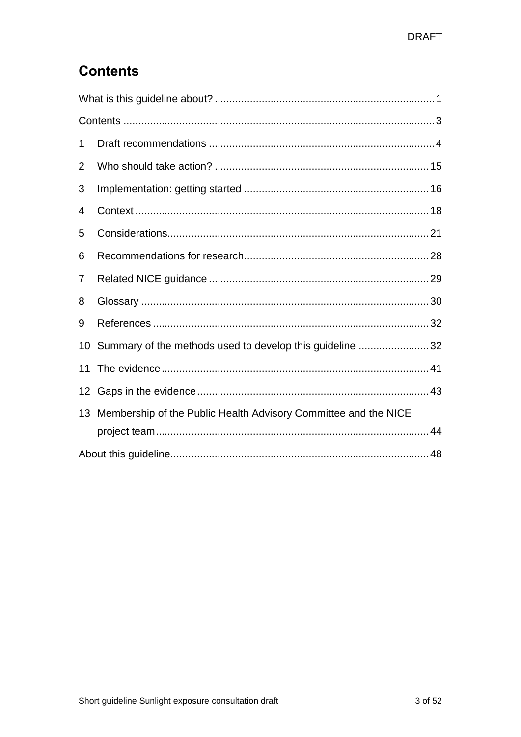## <span id="page-2-0"></span>**Contents**

| 1  |                                                                 |  |  |
|----|-----------------------------------------------------------------|--|--|
| 2  |                                                                 |  |  |
| 3  |                                                                 |  |  |
| 4  |                                                                 |  |  |
| 5  |                                                                 |  |  |
| 6  |                                                                 |  |  |
| 7  |                                                                 |  |  |
| 8  |                                                                 |  |  |
| 9  |                                                                 |  |  |
| 10 | Summary of the methods used to develop this guideline 32        |  |  |
| 11 |                                                                 |  |  |
| 12 |                                                                 |  |  |
| 13 | Membership of the Public Health Advisory Committee and the NICE |  |  |
|    |                                                                 |  |  |
|    |                                                                 |  |  |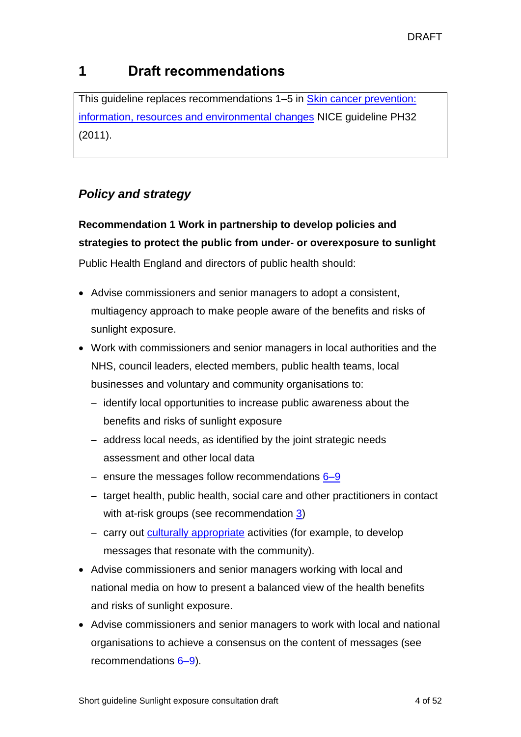## <span id="page-3-0"></span>**1 Draft recommendations**

This guideline replaces recommendations 1–5 in Skin cancer prevention: [information, resources and environmental changes](https://www.nice.org.uk/guidance/PH32) NICE guideline PH32 (2011).

## *Policy and strategy*

## **Recommendation 1 Work in partnership to develop policies and strategies to protect the public from under- or overexposure to sunlight**

Public Health England and directors of public health should:

- Advise commissioners and senior managers to adopt a consistent, multiagency approach to make people aware of the benefits and risks of sunlight exposure.
- Work with commissioners and senior managers in local authorities and the NHS, council leaders, elected members, public health teams, local businesses and voluntary and community organisations to:
	- $-$  identify local opportunities to increase public awareness about the benefits and risks of sunlight exposure
	- address local needs, as identified by the joint strategic needs assessment and other local data
	- ensure the messages follow recommendations  $6-9$
	- $-$  target health, public health, social care and other practitioners in contact with at-risk groups (see recommendation [3\)](#page-5-0)
	- carry out culturally appropriate activities (for example, to develop messages that resonate with the community).
- Advise commissioners and senior managers working with local and national media on how to present a balanced view of the health benefits and risks of sunlight exposure.
- Advise commissioners and senior managers to work with local and national organisations to achieve a consensus on the content of messages (see recommendations [6–9\)](#page-8-0).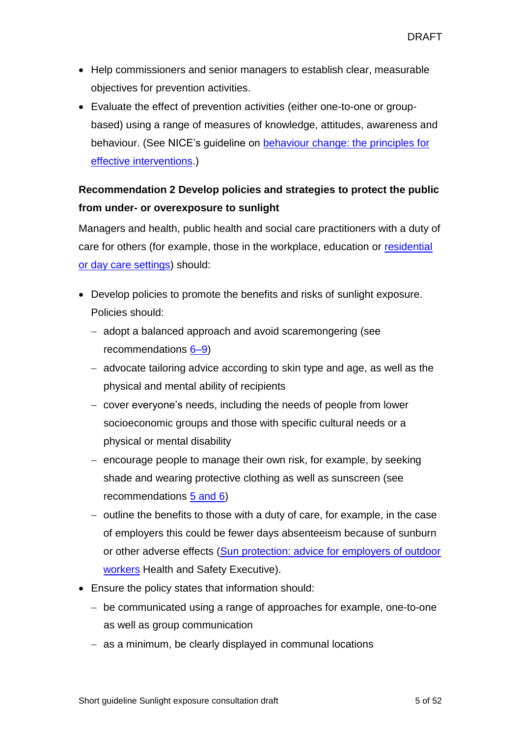- Help commissioners and senior managers to establish clear, measurable objectives for prevention activities.
- Evaluate the effect of prevention activities (either one-to-one or groupbased) using a range of measures of knowledge, attitudes, awareness and behaviour. (See NICE's guideline on [behaviour change: the principles for](http://www.nice.org.uk/guidance/PH6)  [effective interventions.](http://www.nice.org.uk/guidance/PH6))

## <span id="page-4-0"></span>**Recommendation 2 Develop policies and strategies to protect the public from under- or overexposure to sunlight**

Managers and health, public health and social care practitioners with a duty of care for others (for example, those in the workplace, education or [residential](#page-30-1)  [or day care settings\)](#page-30-1) should:

- Develop policies to promote the benefits and risks of sunlight exposure. Policies should:
	- adopt a balanced approach and avoid scaremongering (see recommendations [6–9\)](#page-8-0)
	- advocate tailoring advice according to skin type and age, as well as the physical and mental ability of recipients
	- cover everyone's needs, including the needs of people from lower socioeconomic groups and those with specific cultural needs or a physical or mental disability
	- encourage people to manage their own risk, for example, by seeking shade and wearing protective clothing as well as sunscreen (see recommendations [5 and 6\)](#page-7-0)
	- $-$  outline the benefits to those with a duty of care, for example, in the case of employers this could be fewer days absenteeism because of sunburn or other adverse effects [\(Sun protection: advice for employers of outdoor](http://www.hse.gov.uk/skin/sunprotect.htm)  [workers](http://www.hse.gov.uk/skin/sunprotect.htm) Health and Safety Executive).
- Ensure the policy states that information should:
	- be communicated using a range of approaches for example, one-to-one as well as group communication
	- as a minimum, be clearly displayed in communal locations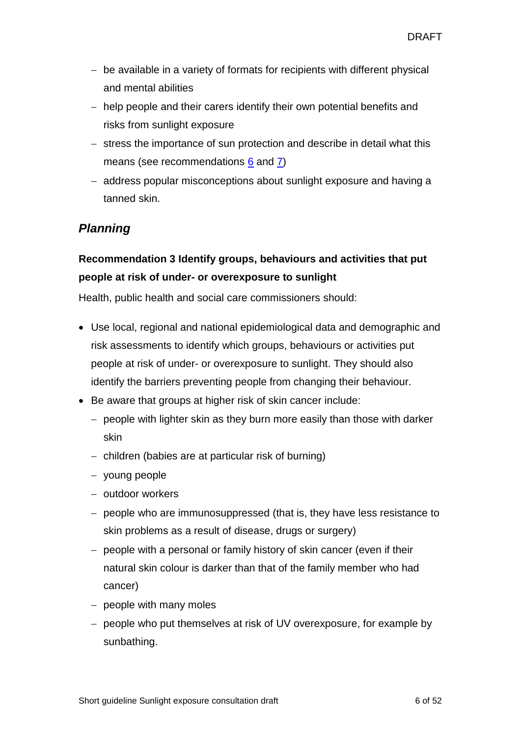- be available in a variety of formats for recipients with different physical and mental abilities
- help people and their carers identify their own potential benefits and risks from sunlight exposure
- stress the importance of sun protection and describe in detail what this means (see recommendations [6](#page-8-0) and [7\)](#page-9-0)
- address popular misconceptions about sunlight exposure and having a tanned skin.

## *Planning*

## <span id="page-5-0"></span>**Recommendation 3 Identify groups, behaviours and activities that put people at risk of under- or overexposure to sunlight**

Health, public health and social care commissioners should:

- Use local, regional and national epidemiological data and demographic and risk assessments to identify which groups, behaviours or activities put people at risk of under- or overexposure to sunlight. They should also identify the barriers preventing people from changing their behaviour.
- Be aware that groups at higher risk of skin cancer include:
	- $-$  people with lighter skin as they burn more easily than those with darker skin
	- $-$  children (babies are at particular risk of burning)
	- young people
	- $-$  outdoor workers
	- people who are immunosuppressed (that is, they have less resistance to skin problems as a result of disease, drugs or surgery)
	- people with a personal or family history of skin cancer (even if their natural skin colour is darker than that of the family member who had cancer)
	- $-$  people with many moles
	- people who put themselves at risk of UV overexposure, for example by sunbathing.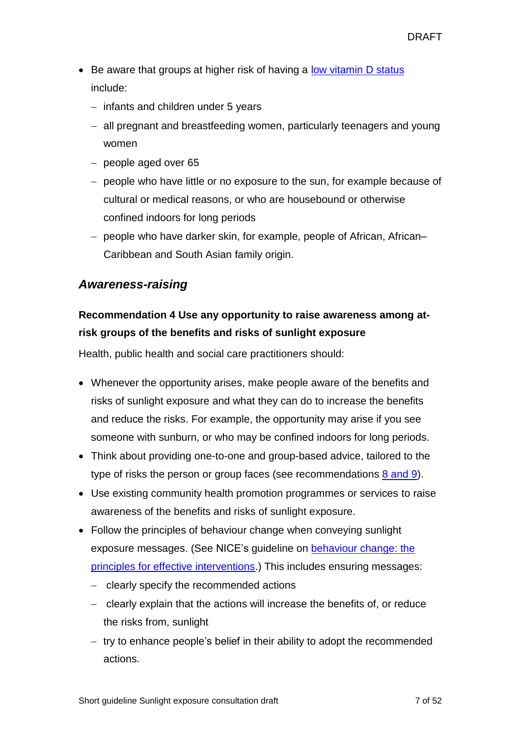- Be aware that groups at higher risk of having a [low vitamin](#page-29-1) D status include:
	- $-$  infants and children under 5 years
	- all pregnant and breastfeeding women, particularly teenagers and young women
	- $-$  people aged over 65
	- $-$  people who have little or no exposure to the sun, for example because of cultural or medical reasons, or who are housebound or otherwise confined indoors for long periods
	- people who have darker skin, for example, people of African, African-Caribbean and South Asian family origin.

### *Awareness-raising*

## **Recommendation 4 Use any opportunity to raise awareness among atrisk groups of the benefits and risks of sunlight exposure**

Health, public health and social care practitioners should:

- Whenever the opportunity arises, make people aware of the benefits and risks of sunlight exposure and what they can do to increase the benefits and reduce the risks. For example, the opportunity may arise if you see someone with sunburn, or who may be confined indoors for long periods.
- Think about providing one-to-one and group-based advice, tailored to the type of risks the person or group faces (see recommendations [8 and 9\)](#page-10-0).
- Use existing community health promotion programmes or services to raise awareness of the benefits and risks of sunlight exposure.
- Follow the principles of behaviour change when conveying sunlight exposure messages. (See NICE's guideline on [behaviour change: the](https://www.nice.org.uk/Guidance/PH6)  [principles for effective interventions.](https://www.nice.org.uk/Guidance/PH6)) This includes ensuring messages:
	- clearly specify the recommended actions
	- clearly explain that the actions will increase the benefits of, or reduce the risks from, sunlight
	- $-$  try to enhance people's belief in their ability to adopt the recommended actions.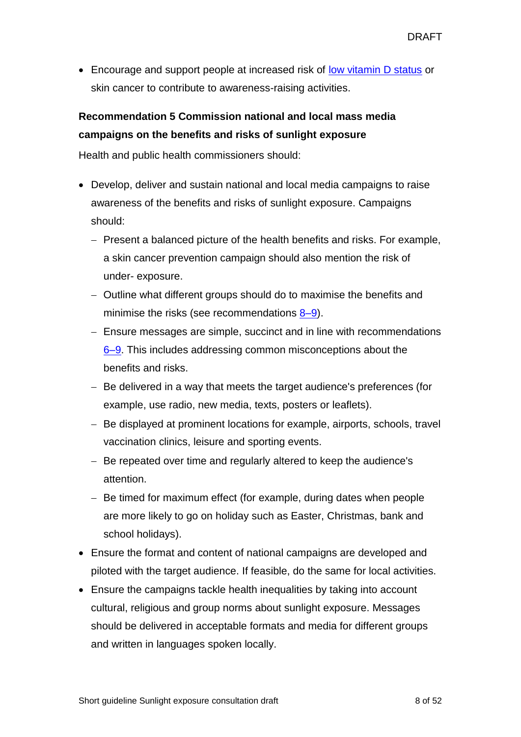• Encourage and support people at increased risk of [low vitamin](#page-29-1) D status or skin cancer to contribute to awareness-raising activities.

## <span id="page-7-0"></span>**Recommendation 5 Commission national and local mass media campaigns on the benefits and risks of sunlight exposure**

Health and public health commissioners should:

- Develop, deliver and sustain national and local media campaigns to raise awareness of the benefits and risks of sunlight exposure. Campaigns should:
	- Present a balanced picture of the [health benefits and risks.](#page-0-1) For example, a skin cancer prevention campaign should also mention the risk of under- exposure.
	- Outline what different groups should do to maximise the benefits and minimise the risks (see recommendations  $8-9$ ).
	- Ensure messages are simple, succinct and in line with recommendations [6–9.](#page-8-0) This includes addressing common misconceptions about the benefits and risks.
	- Be delivered in a way that meets the target audience's preferences (for example, use radio, new media, texts, posters or leaflets).
	- Be displayed at prominent locations for example, airports, schools, travel vaccination clinics, leisure and sporting events.
	- Be repeated over time and regularly altered to keep the audience's attention.
	- Be timed for maximum effect (for example, during dates when people are more likely to go on holiday such as Easter, Christmas, bank and school holidays).
- Ensure the format and content of national campaigns are developed and piloted with the target audience. If feasible, do the same for local activities.
- Ensure the campaigns tackle health inequalities by taking into account cultural, religious and group norms about sunlight exposure. Messages should be delivered in acceptable formats and media for different groups and written in languages spoken locally.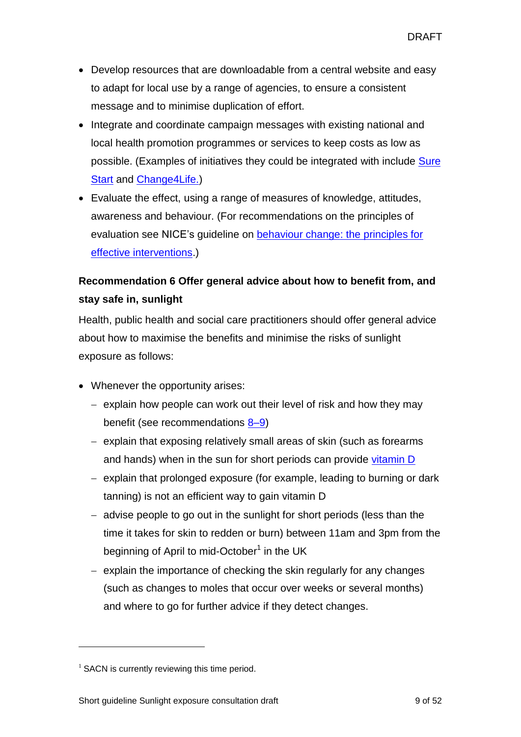- Develop resources that are downloadable from a central website and easy to adapt for local use by a range of agencies, to ensure a consistent message and to minimise duplication of effort.
- Integrate and coordinate campaign messages with existing national and local health promotion programmes or services to keep costs as low as possible. (Examples of initiatives they could be integrated with include [Sure](http://www.childrenscentres.info/)  **[Start](http://www.childrenscentres.info/) and [Change4Life.\)](http://www.nhs.uk/Change4Life/Pages/why-change-for-life.aspx)**
- Evaluate the effect, using a range of measures of knowledge, attitudes, awareness and behaviour. (For recommendations on the principles of evaluation see NICE's guideline on [behaviour change: the principles for](https://www.nice.org.uk/Guidance/PH6)  [effective interventions.](https://www.nice.org.uk/Guidance/PH6))

## <span id="page-8-0"></span>**Recommendation 6 Offer general advice about how to benefit from, and stay safe in, sunlight**

Health, public health and social care practitioners should offer general advice about how to maximise the benefits and minimise the risks of sunlight exposure as follows:

- Whenever the opportunity arises:
	- $-$  explain how people can work out their level of risk and how they may benefit (see recommendations [8–9\)](#page-10-0)
	- explain that exposing relatively small areas of skin (such as forearms and hands) when in the sun for short periods can provide  $v$  itamin  $D$
	- explain that prolonged exposure (for example, leading to burning or dark tanning) is not an efficient way to gain vitamin D
	- $-$  advise people to go out in the sunlight for short periods (less than the time it takes for skin to redden or burn) between 11am and 3pm from the beginning of April to mid-October<sup>1</sup> in the UK
	- $-$  explain the importance of checking the skin regularly for any changes (such as changes to moles that occur over weeks or several months) and where to go for further advice if they detect changes.

 $\overline{a}$ 

 $1$  SACN is currently reviewing this time period.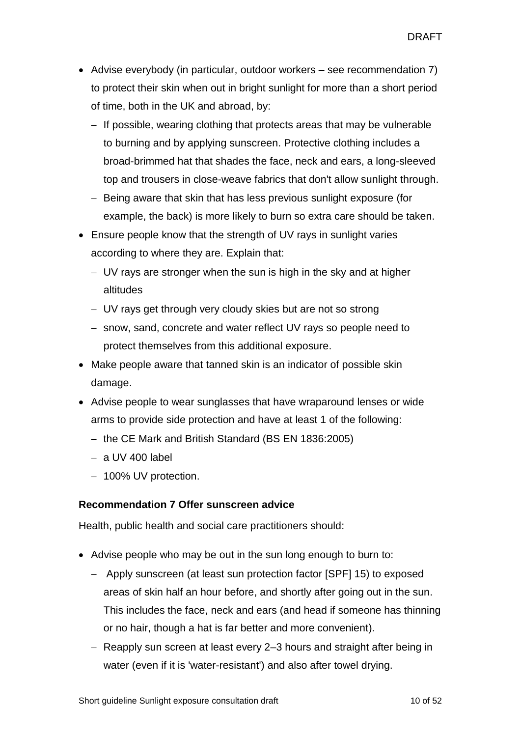- Advise everybody (in particular, outdoor workers see recommendation 7) to protect their skin when out in bright sunlight for more than a short period of time, both in the UK and abroad, by:
	- $-$  If possible, wearing clothing that protects areas that may be vulnerable to burning and by applying sunscreen. Protective clothing includes a broad-brimmed hat that shades the face, neck and ears, a long-sleeved top and trousers in close-weave fabrics that don't allow sunlight through.
	- Being aware that skin that has less previous sunlight exposure (for example, the back) is more likely to burn so extra care should be taken.
- Ensure people know that the strength of UV rays in sunlight varies according to where they are. Explain that:
	- UV rays are stronger when the sun is high in the sky and at higher altitudes
	- UV rays get through very cloudy skies but are not so strong
	- snow, sand, concrete and water reflect UV rays so people need to protect themselves from this additional exposure.
- Make people aware that tanned skin is an indicator of possible skin damage.
- Advise people to wear sunglasses that have wraparound lenses or wide arms to provide side protection and have at least 1 of the following:
	- $-$  the CE Mark and British Standard (BS EN 1836:2005)
	- $-$  a UV 400 label
	- 100% UV protection.

#### <span id="page-9-0"></span>**Recommendation 7 Offer sunscreen advice**

Health, public health and social care practitioners should:

- Advise people who may be out in the sun long enough to burn to:
	- Apply sunscreen (at least sun protection factor [SPF] 15) to exposed areas of skin half an hour before, and shortly after going out in the sun. This includes the face, neck and ears (and head if someone has thinning or no hair, though a hat is far better and more convenient).
	- Reapply sun screen at least every 2–3 hours and straight after being in water (even if it is 'water-resistant') and also after towel drying.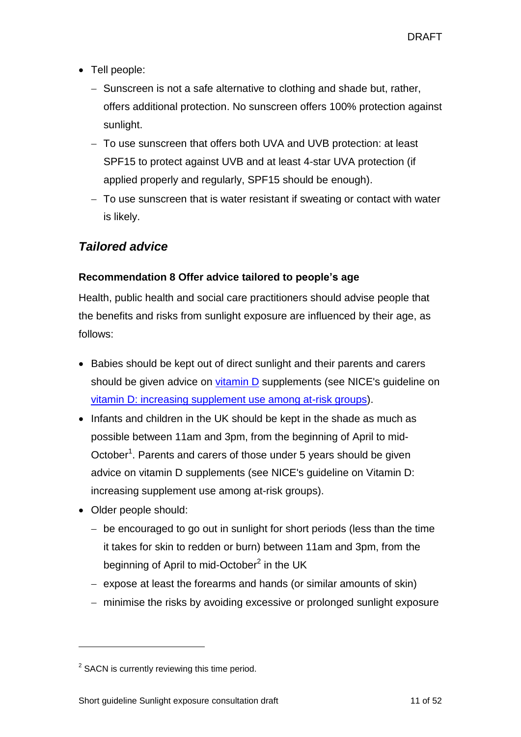- Tell people:
	- Sunscreen is not a safe alternative to clothing and shade but, rather, offers additional protection. No sunscreen offers 100% protection against sunlight.
	- To use sunscreen that offers both UVA and UVB protection: at least SPF15 to protect against UVB and at least 4-star UVA protection (if applied properly and regularly, SPF15 should be enough).
	- To use sunscreen that is water resistant if sweating or contact with water is likely.

## *Tailored advice*

#### <span id="page-10-0"></span>**Recommendation 8 Offer advice tailored to people's age**

Health, public health and social care practitioners should advise people that the benefits and risks from sunlight exposure are influenced by their age, as follows:

- Babies should be kept out of direct sunlight and their parents and carers should be given advice on *vitamin* D supplements (see NICE's guideline on vitamin [D: increasing supplement use among at-risk groups\)](https://www.nice.org.uk/guidance/ph56).
- Infants and children in the UK should be kept in the shade as much as possible between 11am and 3pm, from the beginning of April to mid-October<sup>1</sup>. Parents and carers of those under 5 years should be given advice on vitamin D supplements (see NICE's guideline on Vitamin D: increasing supplement use among at-risk groups).
- Older people should:

l

- be encouraged to go out in sunlight for short periods (less than the time it takes for skin to redden or burn) between 11am and 3pm, from the beginning of April to mid-October<sup>2</sup> in the UK
- expose at least the forearms and hands (or similar amounts of skin)
- minimise the risks by avoiding excessive or prolonged sunlight exposure

 $2$  SACN is currently reviewing this time period.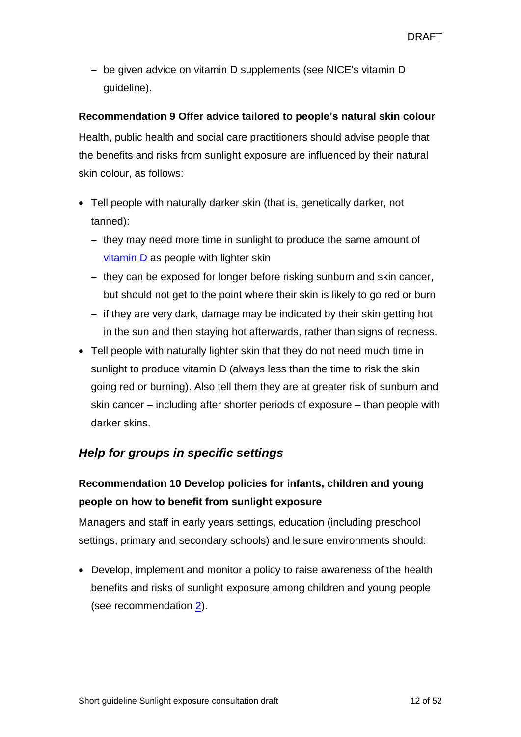be given advice on vitamin D supplements (see NICE's vitamin D guideline).

#### **Recommendation 9 Offer advice tailored to people's natural skin colour**

Health, public health and social care practitioners should advise people that the benefits and risks from sunlight exposure are influenced by their natural skin colour, as follows:

- Tell people with naturally darker skin (that is, genetically darker, not tanned):
	- $-$  they may need more time in sunlight to produce the same amount of [vitamin](#page-30-0) D as people with lighter skin
	- $-$  they can be exposed for longer before risking sunburn and skin cancer, but should not get to the point where their skin is likely to go red or burn
	- $\overline{\phantom{a}}$  if they are very dark, damage may be indicated by their skin getting hot in the sun and then staying hot afterwards, rather than signs of redness.
- Tell people with naturally lighter skin that they do not need much time in sunlight to produce vitamin D (always less than the time to risk the skin going red or burning). Also tell them they are at greater risk of sunburn and skin cancer – including after shorter periods of exposure – than people with darker skins.

## *Help for groups in specific settings*

## **Recommendation 10 Develop policies for infants, children and young people on how to benefit from sunlight exposure**

Managers and staff in early years settings, education (including preschool settings, primary and secondary schools) and leisure environments should:

 Develop, implement and monitor a policy to raise awareness of the health benefits and risks of sunlight exposure among children and young people (see recommendation  $2$ ).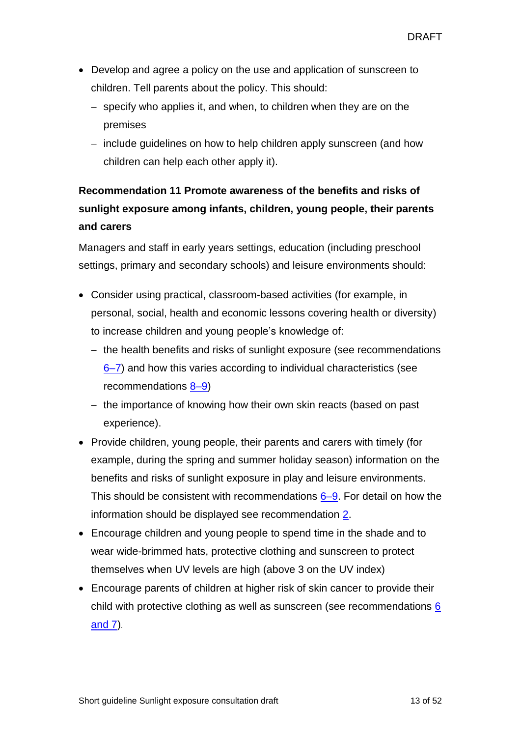- Develop and agree a policy on the use and application of sunscreen to children. Tell parents about the policy. This should:
	- specify who applies it, and when, to children when they are on the premises
	- include guidelines on how to help children apply sunscreen (and how children can help each other apply it).

## **Recommendation 11 Promote awareness of the benefits and risks of sunlight exposure among infants, children, young people, their parents and carers**

Managers and staff in early years settings, education (including preschool settings, primary and secondary schools) and leisure environments should:

- Consider using practical, classroom-based activities (for example, in personal, social, health and economic lessons covering health or diversity) to increase children and young people's knowledge of:
	- $-$  the health benefits and risks of sunlight exposure (see recommendations [6–7\)](#page-8-0) and how this varies according to individual characteristics (see recommendations  $8-9$ )
	- $-$  the importance of knowing how their own skin reacts (based on past experience).
- Provide children, young people, their parents and carers with timely (for example, during the spring and summer holiday season) information on the benefits and risks of sunlight exposure in play and leisure environments. This should be consistent with recommendations  $6-9$ . For detail on how the information should be displayed see recommendation [2.](#page-4-0)
- Encourage children and young people to spend time in the shade and to wear wide-brimmed hats, protective clothing and sunscreen to protect themselves when UV levels are high (above 3 on the UV index)
- Encourage parents of children at higher risk of skin cancer to provide their child with protective clothing as well as sunscreen (see recommendations [6](#page-8-0)  [and 7\)](#page-8-0).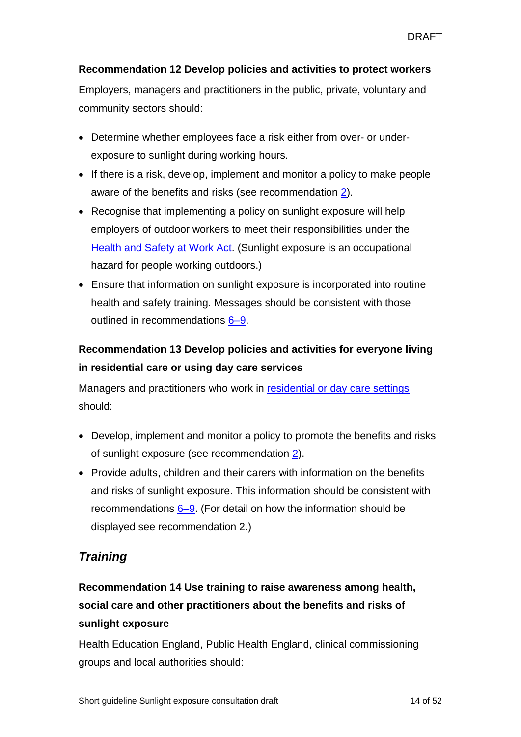#### **Recommendation 12 Develop policies and activities to protect workers**

Employers, managers and practitioners in the public, private, voluntary and community sectors should:

- Determine whether employees face a risk either from over- or underexposure to sunlight during working hours.
- If there is a risk, develop, implement and monitor a policy to make people aware of the benefits and risks (see recommendation [2\)](#page-4-0).
- Recognise that implementing a policy on sunlight exposure will help employers of outdoor workers to meet their responsibilities under the [Health and Safety at Work Act.](http://www.legislation.gov.uk/ukpga/1974/37/contents) (Sunlight exposure is an occupational hazard for people working outdoors.)
- Ensure that information on sunlight exposure is incorporated into routine health and safety training. Messages should be consistent with those outlined in recommendations [6–9.](#page-8-0)

## **Recommendation 13 Develop policies and activities for everyone living in residential care or using day care services**

Managers and practitioners who work in [residential or day care settings](#page-30-1) should:

- Develop, implement and monitor a policy to promote the benefits and risks of sunlight exposure (see recommendation [2\)](#page-4-0).
- Provide adults, children and their carers with information on the benefits and risks of sunlight exposure. This information should be consistent with recommendations  $6-9$ . (For detail on how the information should be displayed see recommendation 2.)

## *Training*

## **Recommendation 14 Use training to raise awareness among health, social care and other practitioners about the benefits and risks of sunlight exposure**

Health Education England, Public Health England, clinical commissioning groups and local authorities should: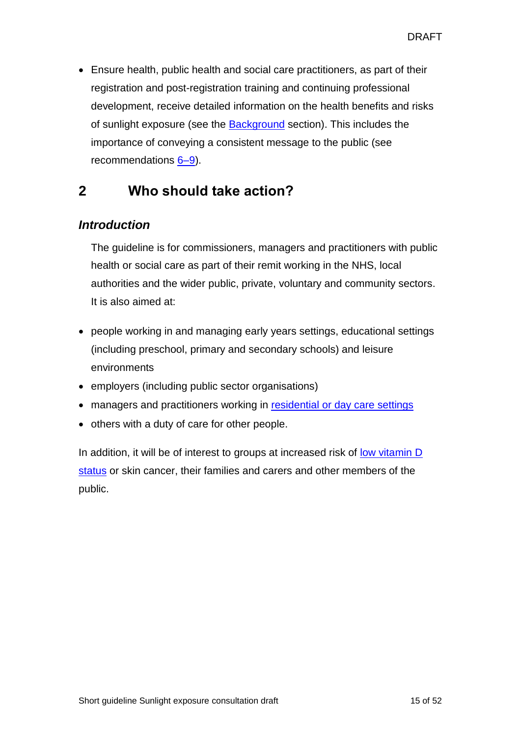Ensure health, public health and social care practitioners, as part of their registration and post-registration training and continuing professional development, receive detailed information on the health benefits and risks of sunlight exposure (see the [Background](#page-0-1) section). This includes the importance of conveying a consistent message to the public (see recommendations  $6-9$ ).

## <span id="page-14-0"></span>**2 Who should take action?**

### *Introduction*

The guideline is for commissioners, managers and practitioners with public health or social care as part of their remit working in the NHS, local authorities and the wider public, private, voluntary and community sectors. It is also aimed at:

- people working in and managing early years settings, educational settings (including preschool, primary and secondary schools) and leisure environments
- employers (including public sector organisations)
- managers and practitioners working in [residential or day care settings](#page-30-1)
- others with a duty of care for other people.

In addition, it will be of interest to groups at increased risk of <u>low vitamin D</u> [status](#page-29-1) or skin cancer, their families and carers and other members of the public.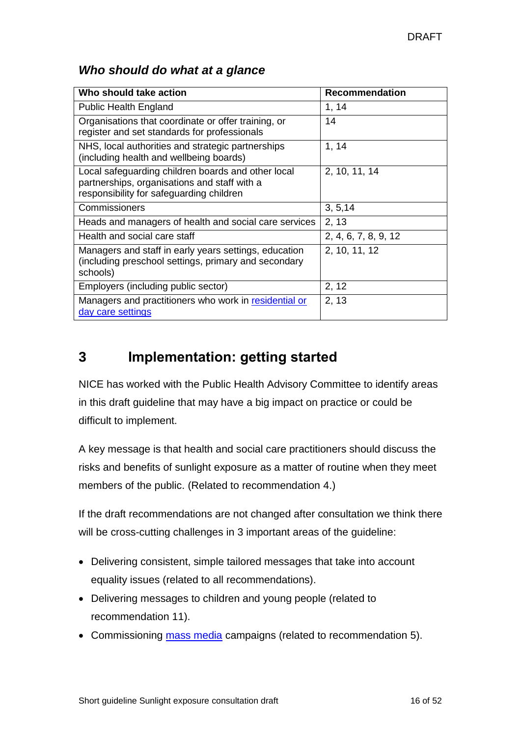### <span id="page-15-0"></span>*Who should do what at a glance*

| Who should take action                                                                                                                         | Recommendation       |
|------------------------------------------------------------------------------------------------------------------------------------------------|----------------------|
| <b>Public Health England</b>                                                                                                                   | 1, 14                |
| Organisations that coordinate or offer training, or<br>register and set standards for professionals                                            | 14                   |
| NHS, local authorities and strategic partnerships<br>(including health and wellbeing boards)                                                   | 1, 14                |
| Local safeguarding children boards and other local<br>partnerships, organisations and staff with a<br>responsibility for safeguarding children | 2, 10, 11, 14        |
| Commissioners                                                                                                                                  | 3, 5, 14             |
| Heads and managers of health and social care services                                                                                          | 2, 13                |
| Health and social care staff                                                                                                                   | 2, 4, 6, 7, 8, 9, 12 |
| Managers and staff in early years settings, education<br>(including preschool settings, primary and secondary<br>schools)                      | 2, 10, 11, 12        |
| Employers (including public sector)                                                                                                            | 2, 12                |
| Managers and practitioners who work in residential or<br>day care settings                                                                     | 2, 13                |

## <span id="page-15-1"></span>**3 Implementation: getting started**

NICE has worked with the Public Health Advisory Committee to identify areas in this draft guideline that may have a big impact on practice or could be difficult to implement.

A key message is that health and social care practitioners should discuss the risks and benefits of sunlight exposure as a matter of routine when they meet members of the public. (Related to recommendation 4.)

If the draft recommendations are not changed after consultation we think there will be cross-cutting challenges in 3 important areas of the guideline:

- Delivering consistent, simple tailored messages that take into account equality issues (related to all recommendations).
- Delivering messages to children and young people (related to recommendation 11).
- Commissioning [mass media](#page-30-2) campaigns (related to recommendation 5).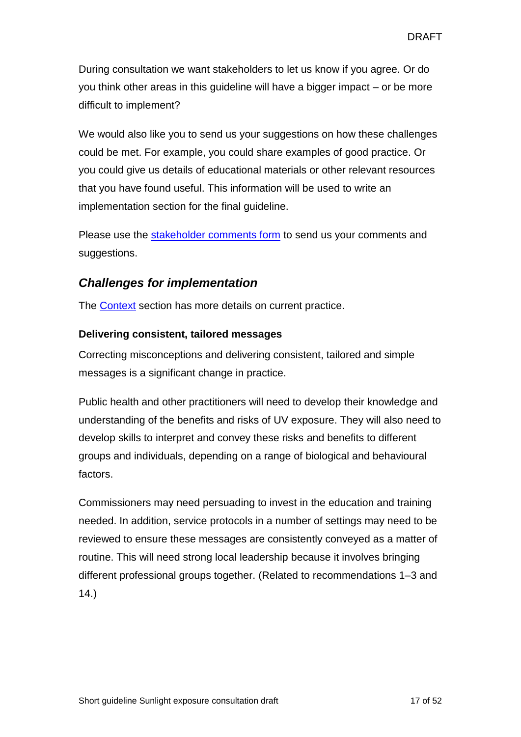During consultation we want stakeholders to let us know if you agree. Or do you think other areas in this guideline will have a bigger impact – or be more difficult to implement?

We would also like you to send us your suggestions on how these challenges could be met. For example, you could share examples of good practice. Or you could give us details of educational materials or other relevant resources that you have found useful. This information will be used to write an implementation section for the final guideline.

Please use the [stakeholder comments form](http://www.nice.org.uk/guidance/indevelopment/gid-phg77/consultation) to send us your comments and suggestions.

### *Challenges for implementation*

The [Context](#page-17-0) section has more details on current practice.

#### **Delivering consistent, tailored messages**

Correcting misconceptions and delivering consistent, tailored and simple messages is a significant change in practice.

Public health and other practitioners will need to develop their knowledge and understanding of the benefits and risks of UV exposure. They will also need to develop skills to interpret and convey these risks and benefits to different groups and individuals, depending on a range of biological and behavioural factors.

Commissioners may need persuading to invest in the education and training needed. In addition, service protocols in a number of settings may need to be reviewed to ensure these messages are consistently conveyed as a matter of routine. This will need strong local leadership because it involves bringing different professional groups together. (Related to recommendations 1–3 and 14.)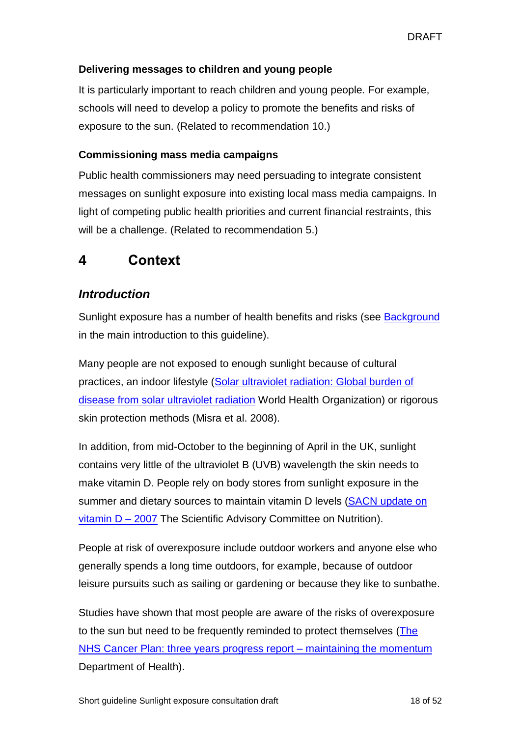#### **Delivering messages to children and young people**

It is particularly important to reach children and young people. For example, schools will need to develop a policy to promote the benefits and risks of exposure to the sun. (Related to recommendation 10.)

#### **Commissioning mass media campaigns**

Public health commissioners may need persuading to integrate consistent messages on sunlight exposure into existing local mass media campaigns. In light of competing public health priorities and current financial restraints, this will be a challenge. (Related to recommendation 5.)

## <span id="page-17-0"></span>**4 Context**

## *Introduction*

Sunlight exposure has a number of health benefits and risks (see **Background** in the main introduction to this guideline).

Many people are not exposed to enough sunlight because of cultural practices, an indoor lifestyle [\(Solar ultraviolet radiation: Global burden of](http://www.who.int/uv/publications/solaradgbd/en/)  [disease from solar ultraviolet radiation](http://www.who.int/uv/publications/solaradgbd/en/) World Health Organization) or rigorous skin protection methods (Misra et al. 2008).

In addition, from mid-October to the beginning of April in the UK, sunlight contains very little of the ultraviolet B (UVB) wavelength the skin needs to make vitamin D. People rely on body stores from sunlight exposure in the summer and dietary sources to maintain vitamin D levels [\(SACN update on](https://www.gov.uk/government/publications/sacn-update-on-vitamin-d-2007)  [vitamin](https://www.gov.uk/government/publications/sacn-update-on-vitamin-d-2007) D – 2007 The Scientific Advisory Committee on Nutrition).

People at risk of overexposure include outdoor workers and anyone else who generally spends a long time outdoors, for example, because of outdoor leisure pursuits such as sailing or gardening or because they like to sunbathe.

Studies have shown that most people are aware of the risks of overexposure to the sun but need to be frequently reminded to protect themselves [\(The](http://webarchive.nationalarchives.gov.uk/+/www.dh.gov.uk/en/Publicationsandstatistics/Publications/PublicationsPolicyAndGuidance/DH_4066438)  [NHS Cancer Plan: three years progress report –](http://webarchive.nationalarchives.gov.uk/+/www.dh.gov.uk/en/Publicationsandstatistics/Publications/PublicationsPolicyAndGuidance/DH_4066438) maintaining the momentum Department of Health).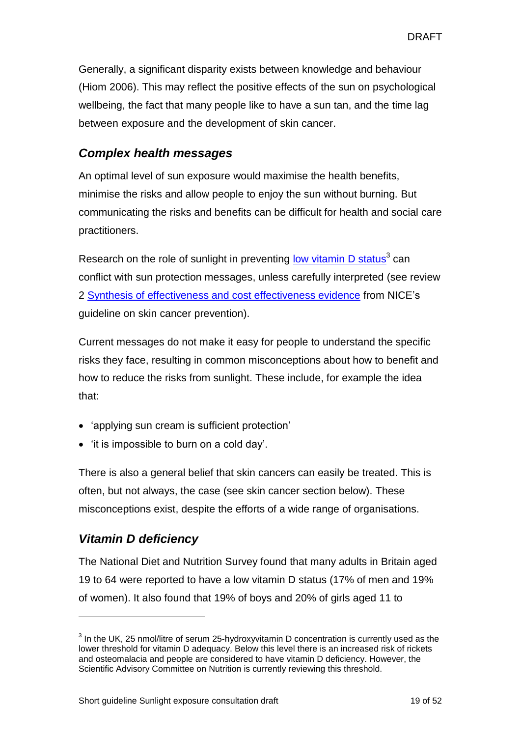Generally, a significant disparity exists between knowledge and behaviour (Hiom 2006). This may reflect the positive effects of the sun on psychological wellbeing, the fact that many people like to have a sun tan, and the time lag between exposure and the development of skin cancer.

### *Complex health messages*

An optimal level of sun exposure would maximise the health benefits, minimise the risks and allow people to enjoy the sun without burning. But communicating the risks and benefits can be difficult for health and social care practitioners.

Research on the role of sunlight in preventing low [vitamin](#page-29-1) D status<sup>3</sup> can conflict with sun protection messages, unless carefully interpreted (see review 2 [Synthesis of effectiveness and cost effectiveness evidence](http://www.nice.org.uk/guidance/PH32/Evidence) from NICE's guideline on skin cancer prevention).

Current messages do not make it easy for people to understand the specific risks they face, resulting in common misconceptions about how to benefit and how to reduce the risks from sunlight. These include, for example the idea that:

- 'applying sun cream is sufficient protection'
- 'it is impossible to burn on a cold day'.

There is also a general belief that skin cancers can easily be treated. This is often, but not always, the case (see skin cancer section below). These misconceptions exist, despite the efforts of a wide range of organisations.

## *Vitamin D deficiency*

l

The National Diet and Nutrition Survey found that many adults in Britain aged 19 to 64 were reported to have a low vitamin D status (17% of men and 19% of women). It also found that 19% of boys and 20% of girls aged 11 to

 $3$  In the UK, 25 nmol/litre of serum 25-hydroxyvitamin D concentration is currently used as the lower threshold for vitamin D adequacy. Below this level there is an increased risk of rickets and osteomalacia and people are considered to have vitamin D deficiency. However, the Scientific Advisory Committee on Nutrition is currently reviewing this threshold.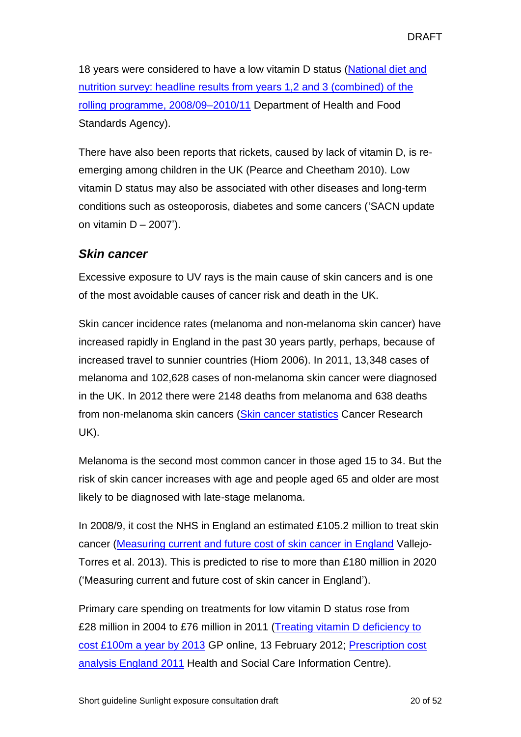18 years were considered to have a low vitamin D status (National diet and [nutrition survey: headline results from years 1,2 and 3 \(combined\) of the](https://www.gov.uk/government/statistics/national-diet-and-nutrition-survey-headline-results-from-years-1-2-and-3-combined-of-the-rolling-programme-200809-201011)  [rolling programme, 2008/09–2010/11](https://www.gov.uk/government/statistics/national-diet-and-nutrition-survey-headline-results-from-years-1-2-and-3-combined-of-the-rolling-programme-200809-201011) Department of Health and Food Standards Agency).

There have also been reports that rickets, caused by lack of vitamin D, is reemerging among children in the UK (Pearce and Cheetham 2010). Low vitamin D status may also be associated with other diseases and long-term conditions such as osteoporosis, diabetes and some cancers ('SACN update on vitamin  $D - 2007'$ ).

### *Skin cancer*

Excessive exposure to UV rays is the main cause of skin cancers and is one of the most avoidable causes of cancer risk and death in the UK.

Skin cancer incidence rates (melanoma and non-melanoma skin cancer) have increased rapidly in England in the past 30 years partly, perhaps, because of increased travel to sunnier countries (Hiom 2006). In 2011, 13,348 cases of melanoma and 102,628 cases of non-melanoma skin cancer were diagnosed in the UK. In 2012 there were 2148 deaths from melanoma and 638 deaths from non-melanoma skin cancers [\(Skin cancer statistics](http://www.cancerresearchuk.org/cancer-info/cancerstats/types/skin/) Cancer Research UK).

Melanoma is the second most common cancer in those aged 15 to 34. But the risk of skin cancer increases with age and people aged 65 and older are most likely to be diagnosed with late-stage melanoma.

In 2008/9, it cost the NHS in England an estimated £105.2 million to treat skin cancer [\(Measuring current and future cost of skin cancer in England](http://jpubhealth.oxfordjournals.org/content/early/2013/04/02/pubmed.fdt032.abstract) Vallejo-Torres et al. 2013). This is predicted to rise to more than £180 million in 2020 ('Measuring current and future cost of skin cancer in England').

Primary care spending on treatments for low vitamin D status rose from £28 million in 2004 to £76 million in 2011 [\(Treating vitamin](http://www.gponline.com/News/article/1116651/Treating-vitamin-D-deficiency-cost-100m-year-2013/) D deficiency to [cost £100m a year by 2013](http://www.gponline.com/News/article/1116651/Treating-vitamin-D-deficiency-cost-100m-year-2013/) GP online, 13 February 2012; [Prescription cost](http://www.hscic.gov.uk/pubs/prescostanalysis2011)  [analysis England 2011](http://www.hscic.gov.uk/pubs/prescostanalysis2011) Health and Social Care Information Centre).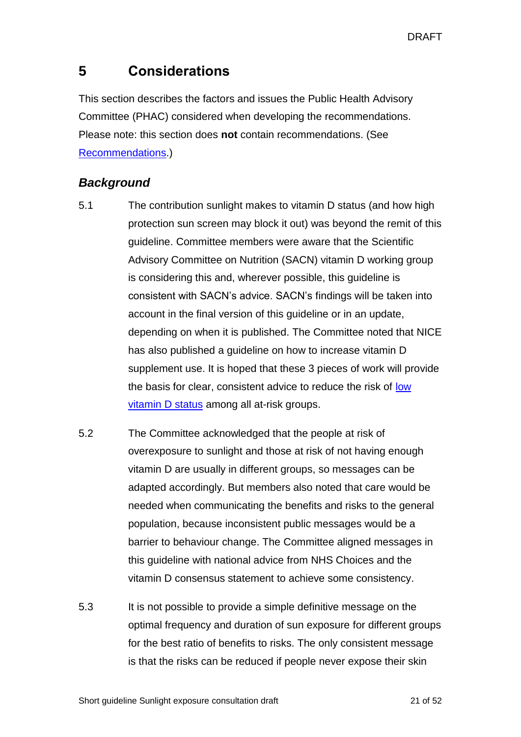DRAFT

## <span id="page-20-0"></span>**5 Considerations**

This section describes the factors and issues the Public Health Advisory Committee (PHAC) considered when developing the recommendations. Please note: this section does **not** contain recommendations. (See Recommendations.)

## *Background*

- 5.1 The contribution sunlight makes to vitamin D status (and how high protection sun screen may block it out) was beyond the remit of this guideline. Committee members were aware that the Scientific Advisory Committee on Nutrition (SACN) vitamin D [working group](https://www.gov.uk/government/groups/scientific-advisory-committee-on-nutrition#vitamin-d-working-group) is considering this and, wherever possible, this guideline is consistent with SACN's advice. SACN's findings will be taken into account in the final version of this guideline or in an update, depending on when it is published. The Committee noted that NICE has also published a guideline on how to increase vitamin D supplement use. It is hoped that these 3 pieces of work will provide the basis for clear, consistent advice to reduce the risk of low vitamin D status among all at-risk groups.
- 5.2 The Committee acknowledged that the people at risk of overexposure to sunlight and those at risk of not having enough vitamin D are usually in different groups, so messages can be adapted accordingly. But members also noted that care would be needed when communicating the benefits and risks to the general population, because inconsistent public messages would be a barrier to behaviour change. The Committee aligned messages in this guideline with national advice from NHS Choices and the vitamin D consensus statement to achieve some consistency.
- 5.3 It is not possible to provide a simple definitive message on the optimal frequency and duration of sun exposure for different groups for the best ratio of benefits to risks. The only consistent message is that the risks can be reduced if people never expose their skin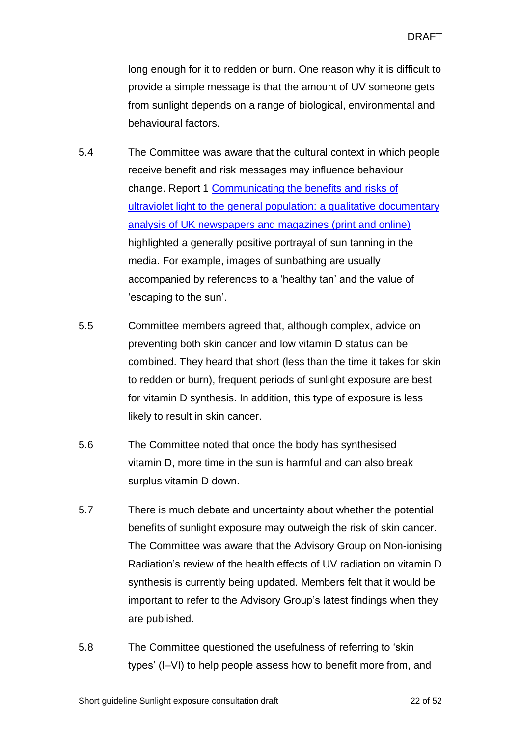long enough for it to redden or burn. One reason why it is difficult to provide a simple message is that the amount of UV someone gets from sunlight depends on a range of biological, environmental and behavioural factors.

- 5.4 The Committee was aware that the cultural context in which people receive benefit and risk messages may influence behaviour change. Report 1 [Communicating the benefits and risks of](http://www.nice.org.uk/guidance/indevelopment/gid-phg77/documents)  [ultraviolet light to the general population: a qualitative documentary](http://www.nice.org.uk/guidance/indevelopment/gid-phg77/documents)  [analysis of UK newspapers and magazines \(print and online\)](http://www.nice.org.uk/guidance/indevelopment/gid-phg77/documents) highlighted a generally positive portrayal of sun tanning in the media. For example, images of sunbathing are usually accompanied by references to a 'healthy tan' and the value of 'escaping to the sun'.
- 5.5 Committee members agreed that, although complex, advice on preventing both skin cancer and low vitamin D status can be combined. They heard that short (less than the time it takes for skin to redden or burn), frequent periods of sunlight exposure are best for vitamin D synthesis. In addition, this type of exposure is less likely to result in skin cancer.
- 5.6 The Committee noted that once the body has synthesised vitamin D, more time in the sun is harmful and can also break surplus vitamin D down.
- 5.7 There is much debate and uncertainty about whether the potential benefits of sunlight exposure may outweigh the risk of skin cancer. The Committee was aware that the Advisory Group on Non-ionising Radiation's review of the health effects of UV radiation on vitamin D synthesis is currently being updated. Members felt that it would be important to refer to the Advisory Group's latest findings when they are published.
- 5.8 The Committee questioned the usefulness of referring to 'skin types' (I–VI) to help people assess how to benefit more from, and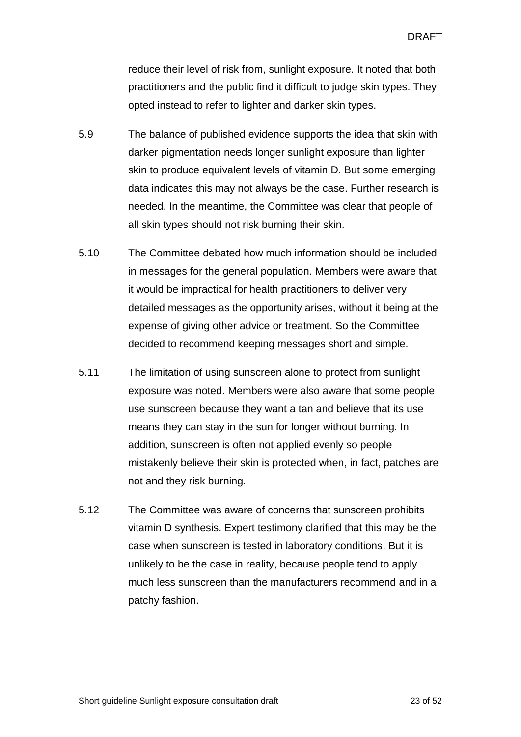reduce their level of risk from, sunlight exposure. It noted that both practitioners and the public find it difficult to judge skin types. They opted instead to refer to lighter and darker skin types.

- 5.9 The balance of published evidence supports the idea that skin with darker pigmentation needs longer sunlight exposure than lighter skin to produce equivalent levels of vitamin D. But some emerging data indicates this may not always be the case. Further research is needed. In the meantime, the Committee was clear that people of all skin types should not risk burning their skin.
- 5.10 The Committee debated how much information should be included in messages for the general population. Members were aware that it would be impractical for health practitioners to deliver very detailed messages as the opportunity arises, without it being at the expense of giving other advice or treatment. So the Committee decided to recommend keeping messages short and simple.
- 5.11 The limitation of using sunscreen alone to protect from sunlight exposure was noted. Members were also aware that some people use sunscreen because they want a tan and believe that its use means they can stay in the sun for longer without burning. In addition, sunscreen is often not applied evenly so people mistakenly believe their skin is protected when, in fact, patches are not and they risk burning.
- 5.12 The Committee was aware of concerns that sunscreen prohibits vitamin D synthesis. Expert testimony clarified that this may be the case when sunscreen is tested in laboratory conditions. But it is unlikely to be the case in reality, because people tend to apply much less sunscreen than the manufacturers recommend and in a patchy fashion.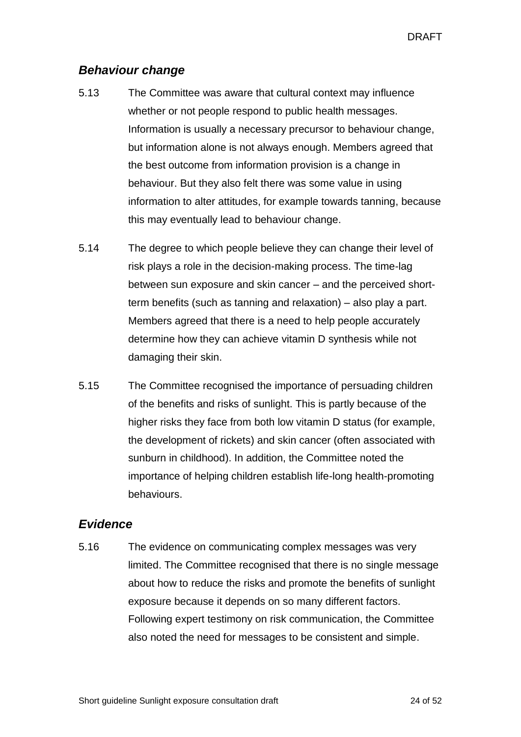#### *Behaviour change*

- 5.13 The Committee was aware that cultural context may influence whether or not people respond to public health messages. Information is usually a necessary precursor to behaviour change, but information alone is not always enough. Members agreed that the best outcome from information provision is a change in behaviour. But they also felt there was some value in using information to alter attitudes, for example towards tanning, because this may eventually lead to behaviour change.
- 5.14 The degree to which people believe they can change their level of risk plays a role in the decision-making process. The time-lag between sun exposure and skin cancer – and the perceived shortterm benefits (such as tanning and relaxation) – also play a part. Members agreed that there is a need to help people accurately determine how they can achieve vitamin D synthesis while not damaging their skin.
- 5.15 The Committee recognised the importance of persuading children of the benefits and risks of sunlight. This is partly because of the higher risks they face from both low vitamin D status (for example, the development of rickets) and skin cancer (often associated with sunburn in childhood). In addition, the Committee noted the importance of helping children establish life-long health-promoting behaviours.

#### *Evidence*

5.16 The evidence on communicating complex messages was very limited. The Committee recognised that there is no single message about how to reduce the risks and promote the benefits of sunlight exposure because it depends on so many different factors. Following expert testimony on risk communication, the Committee also noted the need for messages to be consistent and simple.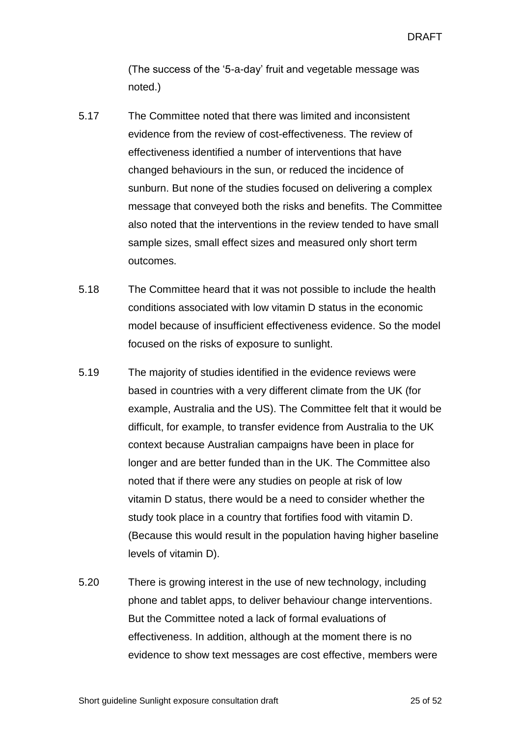DRAFT

(The success of the '5-a-day' fruit and vegetable message was noted.)

- 5.17 The Committee noted that there was limited and inconsistent evidence from the review of cost-effectiveness. The review of effectiveness identified a number of interventions that have changed behaviours in the sun, or reduced the incidence of sunburn. But none of the studies focused on delivering a complex message that conveyed both the risks and benefits. The Committee also noted that the interventions in the review tended to have small sample sizes, small effect sizes and measured only short term outcomes.
- 5.18 The Committee heard that it was not possible to include the health conditions associated with low vitamin D status in the economic model because of insufficient effectiveness evidence. So the model focused on the risks of exposure to sunlight.
- 5.19 The majority of studies identified in the evidence reviews were based in countries with a very different climate from the UK (for example, Australia and the US). The Committee felt that it would be difficult, for example, to transfer evidence from Australia to the UK context because Australian campaigns have been in place for longer and are better funded than in the UK. The Committee also noted that if there were any studies on people at risk of low vitamin D status, there would be a need to consider whether the study took place in a country that fortifies food with vitamin D. (Because this would result in the population having higher baseline levels of vitamin D).
- 5.20 There is growing interest in the use of new technology, including phone and tablet apps, to deliver behaviour change interventions. But the Committee noted a lack of formal evaluations of effectiveness. In addition, although at the moment there is no evidence to show text messages are cost effective, members were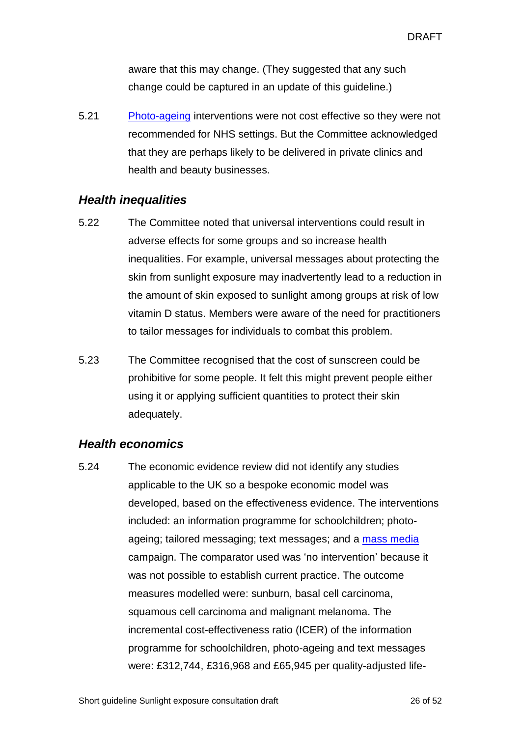aware that this may change. (They suggested that any such change could be captured in an update of this guideline.)

5.21 [Photo-ageing](#page-30-3) interventions were not cost effective so they were not recommended for NHS settings. But the Committee acknowledged that they are perhaps likely to be delivered in private clinics and health and beauty businesses.

#### *Health inequalities*

- 5.22 The Committee noted that universal interventions could result in adverse effects for some groups and so increase health inequalities. For example, universal messages about protecting the skin from sunlight exposure may inadvertently lead to a reduction in the amount of skin exposed to sunlight among groups at risk of low vitamin D status. Members were aware of the need for practitioners to tailor messages for individuals to combat this problem.
- 5.23 The Committee recognised that the cost of sunscreen could be prohibitive for some people. It felt this might prevent people either using it or applying sufficient quantities to protect their skin adequately.

#### *Health economics*

5.24 The economic evidence review did not identify any studies applicable to the UK so a bespoke economic model was developed, based on the effectiveness evidence. The interventions included: an information programme for schoolchildren; photoageing; tailored messaging; text messages; and a [mass media](#page-30-2) campaign. The comparator used was 'no intervention' because it was not possible to establish current practice. The outcome measures modelled were: sunburn, basal cell carcinoma, squamous cell carcinoma and malignant melanoma. The incremental cost-effectiveness ratio (ICER) of the information programme for schoolchildren, photo-ageing and text messages were: £312,744, £316,968 and £65,945 per quality-adjusted life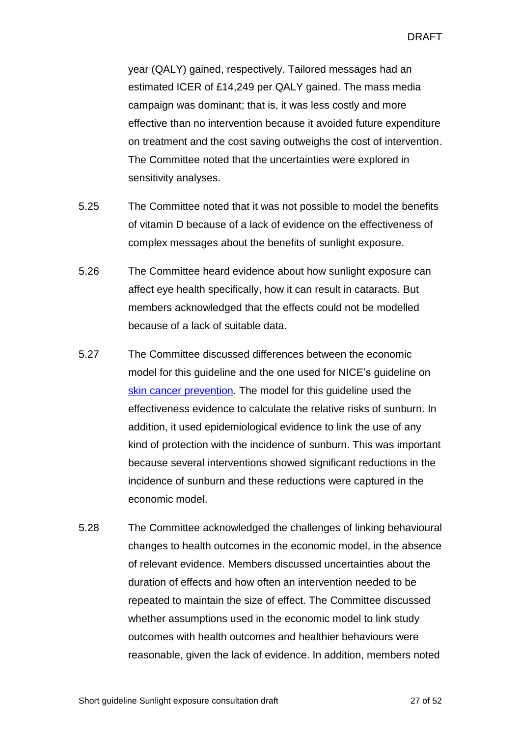year (QALY) gained, respectively. Tailored messages had an estimated ICER of £14,249 per QALY gained. The mass media campaign was dominant; that is, it was less costly and more effective than no intervention because it avoided future expenditure on treatment and the cost saving outweighs the cost of intervention. The Committee noted that the uncertainties were explored in sensitivity analyses.

- 5.25 The Committee noted that it was not possible to model the benefits of vitamin D because of a lack of evidence on the effectiveness of complex messages about the benefits of sunlight exposure.
- 5.26 The Committee heard evidence about how sunlight exposure can affect eye health specifically, how it can result in cataracts. But members acknowledged that the effects could not be modelled because of a lack of suitable data.
- 5.27 The Committee discussed differences between the economic model for this guideline and the one used for NICE's guideline on [skin cancer prevention.](http://www.nice.org.uk/guidance/PH32/Evidence) The model for this guideline used the effectiveness evidence to calculate the relative risks of sunburn. In addition, it used epidemiological evidence to link the use of any kind of protection with the incidence of sunburn. This was important because several interventions showed significant reductions in the incidence of sunburn and these reductions were captured in the economic model.
- 5.28 The Committee acknowledged the challenges of linking behavioural changes to health outcomes in the economic model, in the absence of relevant evidence. Members discussed uncertainties about the duration of effects and how often an intervention needed to be repeated to maintain the size of effect. The Committee discussed whether assumptions used in the economic model to link study outcomes with health outcomes and healthier behaviours were reasonable, given the lack of evidence. In addition, members noted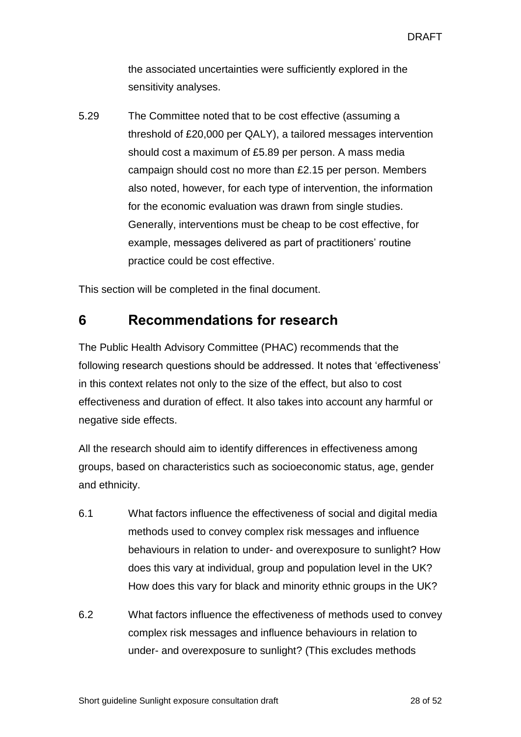the associated uncertainties were sufficiently explored in the sensitivity analyses.

5.29 The Committee noted that to be cost effective (assuming a threshold of £20,000 per QALY), a tailored messages intervention should cost a maximum of £5.89 per person. A mass media campaign should cost no more than £2.15 per person. Members also noted, however, for each type of intervention, the information for the economic evaluation was drawn from single studies. Generally, interventions must be cheap to be cost effective, for example, messages delivered as part of practitioners' routine practice could be cost effective.

This section will be completed in the final document.

## <span id="page-27-0"></span>**6 Recommendations for research**

The Public Health Advisory Committee (PHAC) recommends that the following research questions should be addressed. It notes that 'effectiveness' in this context relates not only to the size of the effect, but also to cost effectiveness and duration of effect. It also takes into account any harmful or negative side effects.

All the research should aim to identify differences in effectiveness among groups, based on characteristics such as socioeconomic status, age, gender and ethnicity.

- 6.1 What factors influence the effectiveness of social and digital media methods used to convey complex risk messages and influence behaviours in relation to under- and overexposure to sunlight? How does this vary at individual, group and population level in the UK? How does this vary for black and minority ethnic groups in the UK?
- 6.2 What factors influence the effectiveness of methods used to convey complex risk messages and influence behaviours in relation to under- and overexposure to sunlight? (This excludes methods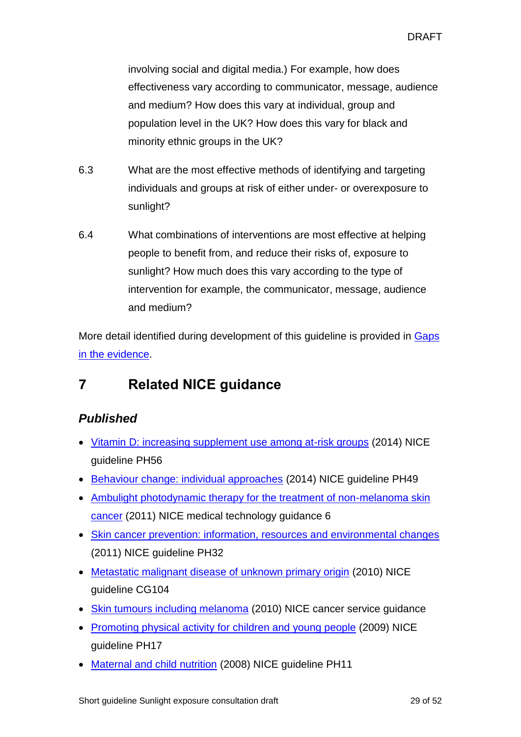involving social and digital media.) For example, how does effectiveness vary according to communicator, message, audience and medium? How does this vary at individual, group and population level in the UK? How does this vary for black and minority ethnic groups in the UK?

- 6.3 What are the most effective methods of identifying and targeting individuals and groups at risk of either under- or overexposure to sunlight?
- 6.4 What combinations of interventions are most effective at helping people to benefit from, and reduce their risks of, exposure to sunlight? How much does this vary according to the type of intervention for example, the communicator, message, audience and medium?

More detail identified during development of this guideline is provided in [Gaps](#page-42-0)  [in the evidence.](#page-42-0)

## <span id="page-28-0"></span>**7 Related NICE guidance**

## *Published*

- Vitamin [D: increasing supplement use among at-risk groups](https://www.nice.org.uk/guidance/ph56) (2014) NICE guideline PH56
- [Behaviour change: individual approaches](http://www.nice.org.uk/guidance/PH49) (2014) NICE guideline PH49
- Ambulight photodynamic therapy for the treatment of non-melanoma skin [cancer](http://www.nice.org.uk/guidance/MTG6) (2011) NICE medical technology guidance 6
- [Skin cancer prevention: information, resources and environmental changes](http://www.nice.org.uk/guidance/PH32) (2011) NICE guideline PH32
- [Metastatic malignant disease of unknown primary origin](http://www.nice.org.uk/guidance/CG104) (2010) NICE guideline CG104
- [Skin tumours including melanoma](http://www.nice.org.uk/guidance/CSGSTIM) (2010) NICE cancer service guidance
- [Promoting physical activity for children and young people](http://www.nice.org.uk/guidance/PH17) (2009) NICE guideline PH17
- [Maternal and child nutrition](http://www.nice.org.uk/guidance/PH11) (2008) NICE guideline PH11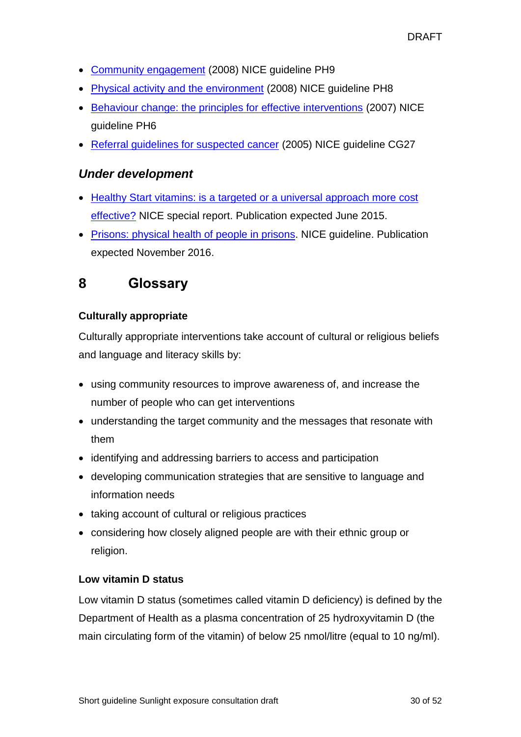- [Community engagement](http://www.nice.org.uk/guidance/PH9) (2008) NICE guideline PH9
- [Physical activity and the environment](http://www.nice.org.uk/guidance/PH8) (2008) NICE guideline PH8
- [Behaviour change: the principles for effective interventions](http://www.nice.org.uk/guidance/PH6) (2007) NICE guideline PH6
- [Referral guidelines for suspected cancer](http://www.nice.org.uk/guidance/CG27) (2005) NICE guideline CG27

### *Under development*

- Healthy Start vitamins: is a targeted or a universal approach more cost [effective?](http://www.nice.org.uk/about/what-we-do/our-programmes/nice-guidance/nice-guidelines/nice-public-health-guidelines/additional-publications/healthy-start-vitamins) NICE special report. Publication expected June 2015.
- [Prisons: physical health of people in prisons.](http://www.nice.org.uk/guidance/indevelopment/GID-CGWAVE0729) NICE quideline. Publication expected November 2016.

## <span id="page-29-0"></span>**8 Glossary**

#### **Culturally appropriate**

Culturally appropriate interventions take account of cultural or religious beliefs and language and literacy skills by:

- using community resources to improve awareness of, and increase the number of people who can get interventions
- understanding the target community and the messages that resonate with them
- identifying and addressing barriers to access and participation
- developing communication strategies that are sensitive to language and information needs
- taking account of cultural or religious practices
- considering how closely aligned people are with their ethnic group or religion.

#### <span id="page-29-1"></span>**Low vitamin D status**

Low vitamin D status (sometimes called vitamin D deficiency) is defined by the Department of Health as a plasma concentration of 25 hydroxyvitamin D (the main circulating form of the vitamin) of below 25 nmol/litre (equal to 10 ng/ml).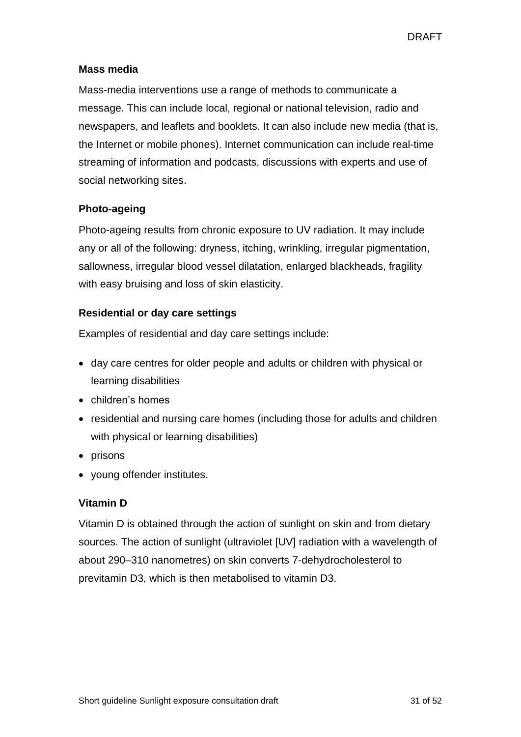#### <span id="page-30-2"></span>**Mass media**

Mass-media interventions use a range of methods to communicate a message. This can include local, regional or national television, radio and newspapers, and leaflets and booklets. It can also include new media (that is, the Internet or mobile phones). Internet communication can include real-time streaming of information and podcasts, discussions with experts and use of social networking sites.

#### <span id="page-30-3"></span>**Photo-ageing**

Photo-ageing results from chronic exposure to UV radiation. It may include any or all of the following: dryness, itching, wrinkling, irregular pigmentation, sallowness, irregular blood vessel dilatation, enlarged blackheads, fragility with easy bruising and loss of skin elasticity.

#### <span id="page-30-1"></span>**Residential or day care settings**

Examples of residential and day care settings include:

- day care centres for older people and adults or children with physical or learning disabilities
- children's homes
- residential and nursing care homes (including those for adults and children with physical or learning disabilities)
- $\bullet$  prisons
- young offender institutes.

#### <span id="page-30-0"></span>**Vitamin D**

Vitamin D is obtained through the action of sunlight on skin and from dietary sources. The action of sunlight (ultraviolet [UV] radiation with a wavelength of about 290–310 nanometres) on skin converts 7-dehydrocholesterol to previtamin D3, which is then metabolised to vitamin D3.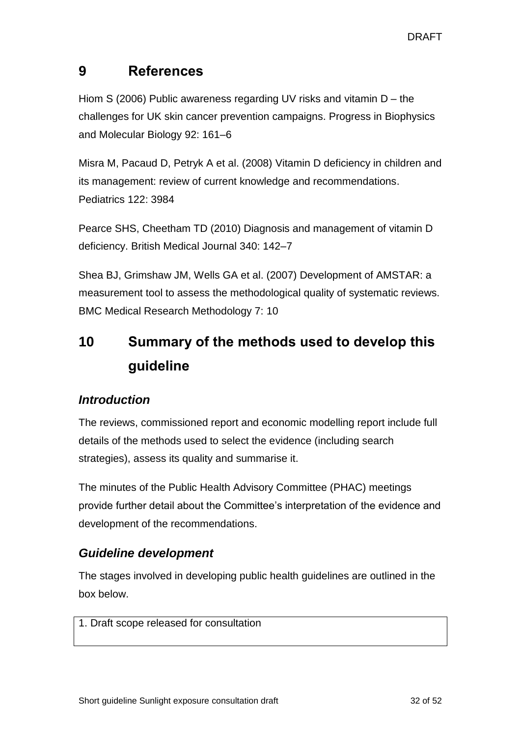## <span id="page-31-0"></span>**9 References**

Hiom S (2006) Public awareness regarding UV risks and vitamin D – the challenges for UK skin cancer prevention campaigns. Progress in Biophysics and Molecular Biology 92: 161–6

Misra M, Pacaud D, Petryk A et al. (2008) Vitamin D deficiency in children and its management: review of current knowledge and recommendations. Pediatrics 122: 3984

Pearce SHS, Cheetham TD (2010) Diagnosis and management of vitamin D deficiency. British Medical Journal 340: 142–7

Shea BJ, Grimshaw JM, Wells GA et al. (2007) Development of AMSTAR: a measurement tool to assess the methodological quality of systematic reviews. BMC Medical Research Methodology 7: 10

# <span id="page-31-1"></span>**10 Summary of the methods used to develop this guideline**

## *Introduction*

The reviews, commissioned report and economic modelling report include full details of the methods used to select the evidence (including search strategies), assess its quality and summarise it.

The minutes of the Public Health Advisory Committee (PHAC) meetings provide further detail about the Committee's interpretation of the evidence and development of the recommendations.

## *Guideline development*

The stages involved in developing public health guidelines are outlined in the box below.

1. Draft scope released for consultation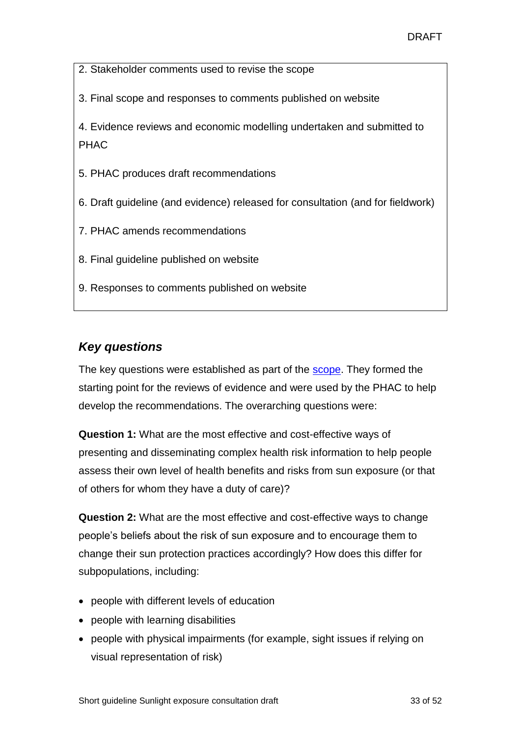- 2. Stakeholder comments used to revise the scope
- 3. Final scope and responses to comments published on website

4. Evidence reviews and economic modelling undertaken and submitted to PHAC

- 5. PHAC produces draft recommendations
- 6. Draft guideline (and evidence) released for consultation (and for fieldwork)
- 7. PHAC amends recommendations
- 8. Final guideline published on website
- 9. Responses to comments published on website

## *Key questions*

The key questions were established as part of the [scope.](http://www.nice.org.uk/guidance/gid-phg77/resources) They formed the starting point for the reviews of evidence and were used by the PHAC to help develop the recommendations. The overarching questions were:

**Question 1:** What are the most effective and cost-effective ways of presenting and disseminating complex health risk information to help people assess their own level of health benefits and risks from sun exposure (or that of others for whom they have a duty of care)?

**Question 2:** What are the most effective and cost-effective ways to change people's beliefs about the risk of sun exposure and to encourage them to change their sun protection practices accordingly? How does this differ for subpopulations, including:

- people with different levels of education
- people with learning disabilities
- people with physical impairments (for example, sight issues if relying on visual representation of risk)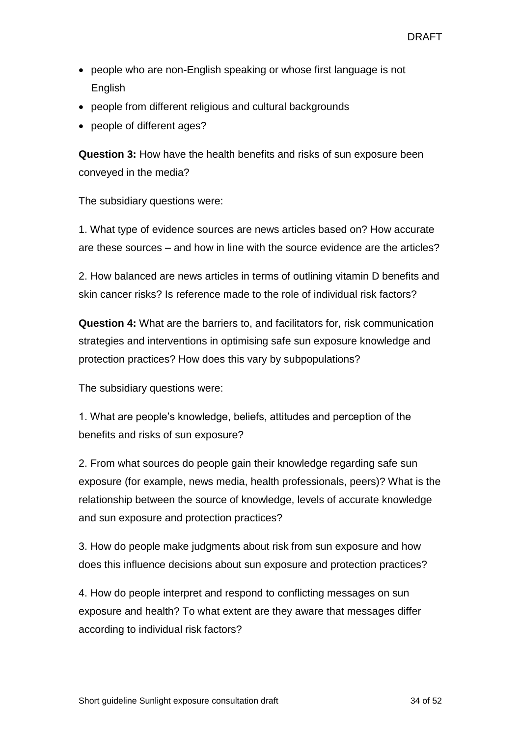- people who are non-English speaking or whose first language is not English
- people from different religious and cultural backgrounds
- people of different ages?

**Question 3:** How have the health benefits and risks of sun exposure been conveyed in the media?

The subsidiary questions were:

1. What type of evidence sources are news articles based on? How accurate are these sources – and how in line with the source evidence are the articles?

2. How balanced are news articles in terms of outlining vitamin D benefits and skin cancer risks? Is reference made to the role of individual risk factors?

**Question 4:** What are the barriers to, and facilitators for, risk communication strategies and interventions in optimising safe sun exposure knowledge and protection practices? How does this vary by subpopulations?

The subsidiary questions were:

1. What are people's knowledge, beliefs, attitudes and perception of the benefits and risks of sun exposure?

2. From what sources do people gain their knowledge regarding safe sun exposure (for example, news media, health professionals, peers)? What is the relationship between the source of knowledge, levels of accurate knowledge and sun exposure and protection practices?

3. How do people make judgments about risk from sun exposure and how does this influence decisions about sun exposure and protection practices?

4. How do people interpret and respond to conflicting messages on sun exposure and health? To what extent are they aware that messages differ according to individual risk factors?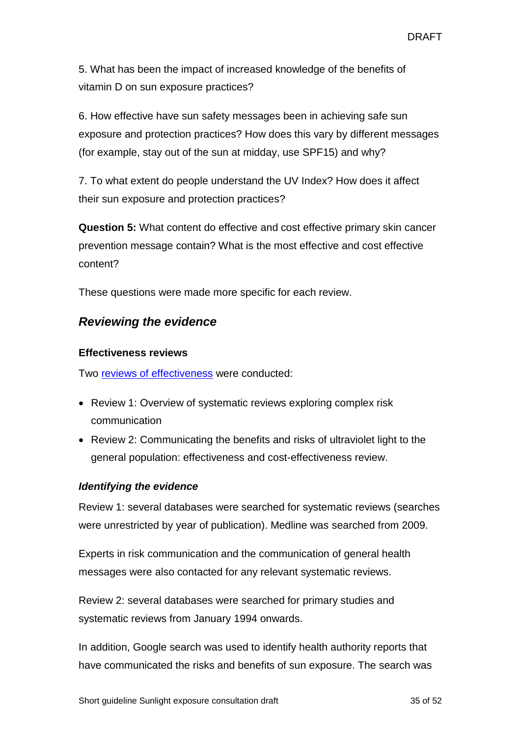5. What has been the impact of increased knowledge of the benefits of vitamin D on sun exposure practices?

6. How effective have sun safety messages been in achieving safe sun exposure and protection practices? How does this vary by different messages (for example, stay out of the sun at midday, use SPF15) and why?

7. To what extent do people understand the UV Index? How does it affect their sun exposure and protection practices?

**Question 5:** What content do effective and cost effective primary skin cancer prevention message contain? What is the most effective and cost effective content?

These questions were made more specific for each review.

### *Reviewing the evidence*

#### **Effectiveness reviews**

Two [reviews of effectiveness](http://www.nice.org.uk/guidance/indevelopment/gid-phg77/documents) were conducted:

- Review 1: Overview of systematic reviews exploring complex risk communication
- Review 2: Communicating the benefits and risks of ultraviolet light to the general population: effectiveness and cost-effectiveness review.

#### *Identifying the evidence*

Review 1: several databases were searched for systematic reviews (searches were unrestricted by year of publication). Medline was searched from 2009.

Experts in risk communication and the communication of general health messages were also contacted for any relevant systematic reviews.

Review 2: several databases were searched for primary studies and systematic reviews from January 1994 onwards.

In addition, Google search was used to identify health authority reports that have communicated the risks and benefits of sun exposure. The search was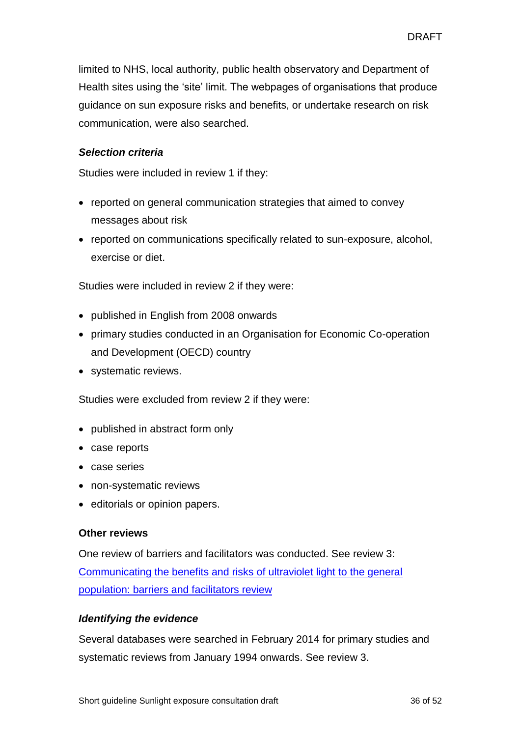limited to NHS, local authority, public health observatory and Department of Health sites using the 'site' limit. The webpages of organisations that produce guidance on sun exposure risks and benefits, or undertake research on risk communication, were also searched.

#### *Selection criteria*

Studies were included in review 1 if they:

- reported on general communication strategies that aimed to convey messages about risk
- reported on communications specifically related to sun-exposure, alcohol, exercise or diet.

Studies were included in review 2 if they were:

- published in English from 2008 onwards
- primary studies conducted in an Organisation for Economic Co-operation and Development (OECD) country
- systematic reviews.

Studies were excluded from review 2 if they were:

- published in abstract form only
- case reports
- case series
- non-systematic reviews
- editorials or opinion papers.

#### **Other reviews**

One review of barriers and facilitators was conducted. See review 3: [Communicating the benefits and risks of ultraviolet light to the general](http://www.nice.org.uk/guidance/indevelopment/gid-phg77/documents)  [population: barriers and facilitators review](http://www.nice.org.uk/guidance/indevelopment/gid-phg77/documents)

#### *Identifying the evidence*

Several databases were searched in February 2014 for primary studies and systematic reviews from January 1994 onwards. See review 3.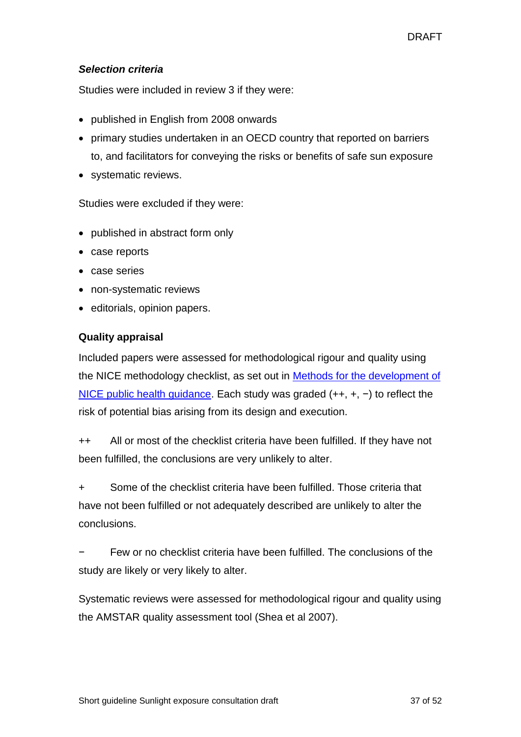#### *Selection criteria*

Studies were included in review 3 if they were:

- published in English from 2008 onwards
- primary studies undertaken in an OECD country that reported on barriers to, and facilitators for conveying the risks or benefits of safe sun exposure
- systematic reviews.

Studies were excluded if they were:

- published in abstract form only
- case reports
- case series
- non-systematic reviews
- editorials, opinion papers.

#### **Quality appraisal**

Included papers were assessed for methodological rigour and quality using the NICE methodology checklist, as set out in [Methods for the development of](http://www.nice.org.uk/about/what-we-do/our-programmes/nice-guidance/nice-guidelines/nice-public-health-guidelines)  [NICE public health guidance.](http://www.nice.org.uk/about/what-we-do/our-programmes/nice-guidance/nice-guidelines/nice-public-health-guidelines) Each study was graded (++, +, −) to reflect the risk of potential bias arising from its design and execution.

++ All or most of the checklist criteria have been fulfilled. If they have not been fulfilled, the conclusions are very unlikely to alter.

+ Some of the checklist criteria have been fulfilled. Those criteria that have not been fulfilled or not adequately described are unlikely to alter the conclusions.

− Few or no checklist criteria have been fulfilled. The conclusions of the study are likely or very likely to alter.

Systematic reviews were assessed for methodological rigour and quality using the AMSTAR quality assessment tool (Shea et al 2007).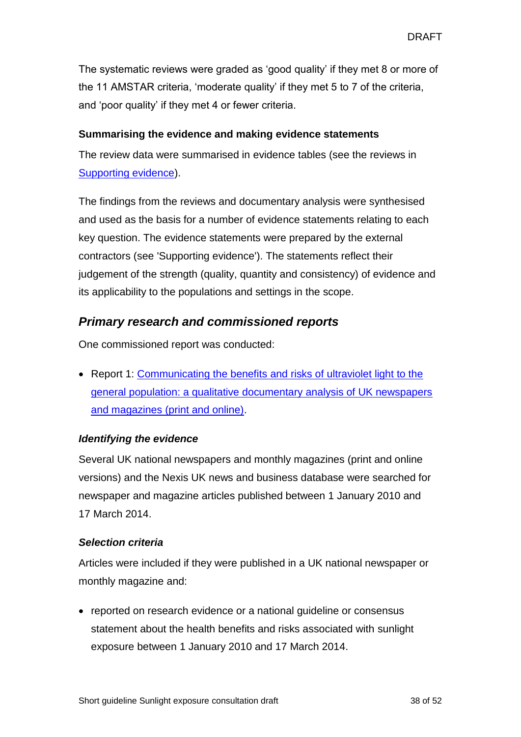The systematic reviews were graded as 'good quality' if they met 8 or more of the 11 AMSTAR criteria, 'moderate quality' if they met 5 to 7 of the criteria, and 'poor quality' if they met 4 or fewer criteria.

#### **Summarising the evidence and making evidence statements**

The review data were summarised in evidence tables (see the reviews in [Supporting evidence\)](http://www.nice.org.uk/guidance/indevelopment/gid-phg77/documents).

The findings from the reviews and documentary analysis were synthesised and used as the basis for a number of evidence statements relating to each key question. The evidence statements were prepared by the external contractors (see 'Supporting evidence'). The statements reflect their judgement of the strength (quality, quantity and consistency) of evidence and its applicability to the populations and settings in the scope.

## *Primary research and commissioned reports*

One commissioned report was conducted:

• Report 1: Communicating the benefits and risks of ultraviolet light to the [general population: a qualitative documentary analysis of UK newspapers](http://www.nice.org.uk/guidance/indevelopment/gid-phg77/documents)  [and magazines \(print and online\).](http://www.nice.org.uk/guidance/indevelopment/gid-phg77/documents)

#### *Identifying the evidence*

Several UK national newspapers and monthly magazines (print and online versions) and the Nexis UK news and business database were searched for newspaper and magazine articles published between 1 January 2010 and 17 March 2014.

#### *Selection criteria*

Articles were included if they were published in a UK national newspaper or monthly magazine and:

• reported on research evidence or a national guideline or consensus statement about the health benefits and risks associated with sunlight exposure between 1 January 2010 and 17 March 2014.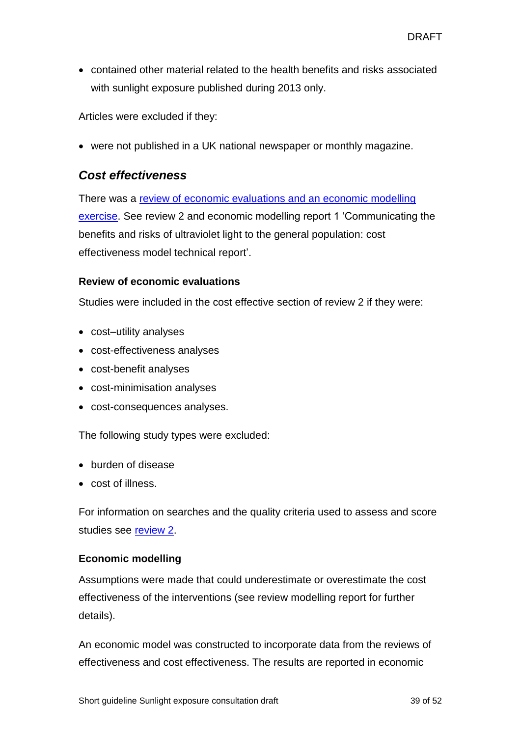contained other material related to the health benefits and risks associated with sunlight exposure published during 2013 only.

Articles were excluded if they:

• were not published in a UK national newspaper or monthly magazine.

#### *Cost effectiveness*

There was a [review of economic evaluations and an economic modelling](http://www.nice.org.uk/guidance/indevelopment/gid-phg77/documents)  [exercise.](http://www.nice.org.uk/guidance/indevelopment/gid-phg77/documents) See review 2 and economic modelling report 1 'Communicating the benefits and risks of ultraviolet light to the general population: cost effectiveness model technical report'.

#### **Review of economic evaluations**

Studies were included in the cost effective section of review 2 if they were:

- cost–utility analyses
- cost-effectiveness analyses
- cost-benefit analyses
- cost-minimisation analyses
- cost-consequences analyses.

The following study types were excluded:

- burden of disease
- cost of illness.

For information on searches and the quality criteria used to assess and score studies see [review 2.](http://www.nice.org.uk/guidance/indevelopment/gid-phg77/documents)

#### **Economic modelling**

Assumptions were made that could underestimate or overestimate the cost effectiveness of the interventions (see review modelling report for further details).

An economic model was constructed to incorporate data from the reviews of effectiveness and cost effectiveness. The results are reported in economic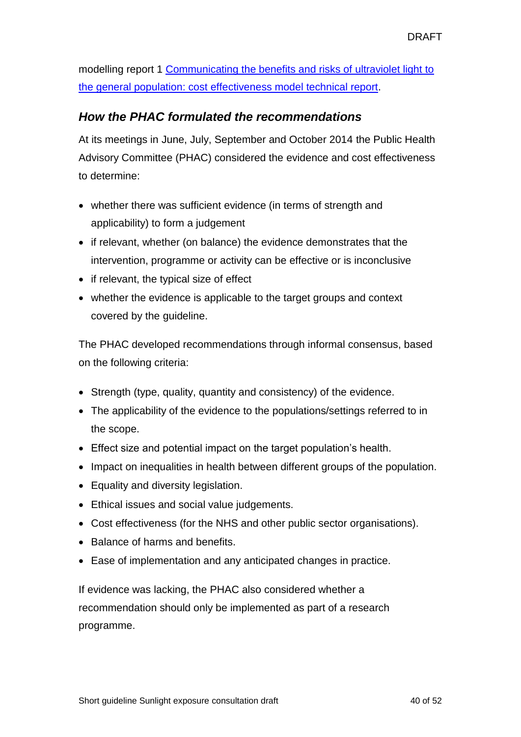modelling report 1 [Communicating the benefits and risks of ultraviolet light to](http://www.nice.org.uk/guidance/indevelopment/gid-phg77/documents)  [the general population: cost effectiveness model technical report.](http://www.nice.org.uk/guidance/indevelopment/gid-phg77/documents)

## *How the PHAC formulated the recommendations*

At its meetings in June, July, September and October 2014 the Public Health Advisory Committee (PHAC) considered the evidence and cost effectiveness to determine:

- whether there was sufficient evidence (in terms of strength and applicability) to form a judgement
- if relevant, whether (on balance) the evidence demonstrates that the intervention, programme or activity can be effective or is inconclusive
- if relevant, the typical size of effect
- whether the evidence is applicable to the target groups and context covered by the guideline.

The PHAC developed recommendations through informal consensus, based on the following criteria:

- Strength (type, quality, quantity and consistency) of the evidence.
- The applicability of the evidence to the populations/settings referred to in the scope.
- Effect size and potential impact on the target population's health.
- Impact on inequalities in health between different groups of the population.
- Equality and diversity legislation.
- Ethical issues and social value judgements.
- Cost effectiveness (for the NHS and other public sector organisations).
- Balance of harms and benefits.
- Ease of implementation and any anticipated changes in practice.

If evidence was lacking, the PHAC also considered whether a recommendation should only be implemented as part of a research programme.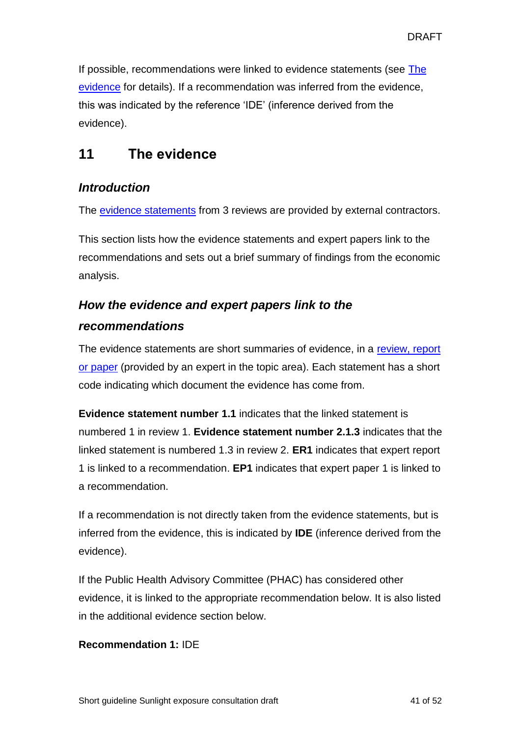If possible, recommendations were linked to evidence statements (see The [evidence](#page-40-0) for details). If a recommendation was inferred from the evidence, this was indicated by the reference 'IDE' (inference derived from the evidence).

## <span id="page-40-0"></span>**11 The evidence**

## *Introduction*

The [evidence statements](http://www.nice.org.uk/guidance/indevelopment/gid-phg77/documents) from 3 reviews are provided by external contractors.

This section lists how the evidence statements and expert papers link to the recommendations and sets out a brief summary of findings from the economic analysis.

## *How the evidence and expert papers link to the recommendations*

The evidence statements are short summaries of evidence, in a [review, report](http://www.nice.org.uk/guidance/indevelopment/gid-phg77/documents)  [or paper](http://www.nice.org.uk/guidance/indevelopment/gid-phg77/documents) (provided by an expert in the topic area). Each statement has a short code indicating which document the evidence has come from.

**Evidence statement number 1.1** indicates that the linked statement is numbered 1 in review 1. **Evidence statement number 2.1.3** indicates that the linked statement is numbered 1.3 in review 2. **ER1** indicates that expert report 1 is linked to a recommendation. **EP1** indicates that expert paper 1 is linked to a recommendation.

If a recommendation is not directly taken from the evidence statements, but is inferred from the evidence, this is indicated by **IDE** (inference derived from the evidence).

If the Public Health Advisory Committee (PHAC) has considered other evidence, it is linked to the appropriate recommendation below. It is also listed in the additional evidence section below.

#### **Recommendation 1:** IDE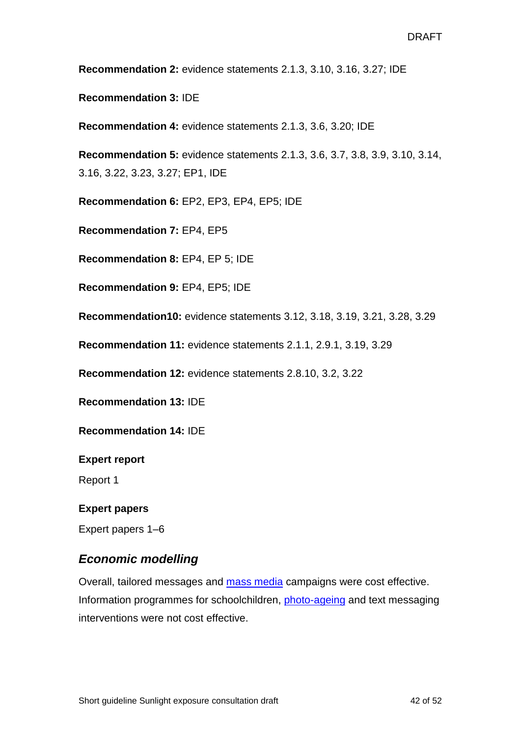**Recommendation 2:** evidence statements 2.1.3, 3.10, 3.16, 3.27; IDE

**Recommendation 3:** IDE

**Recommendation 4:** evidence statements 2.1.3, 3.6, 3.20; IDE

**Recommendation 5:** evidence statements 2.1.3, 3.6, 3.7, 3.8, 3.9, 3.10, 3.14, 3.16, 3.22, 3.23, 3.27; EP1, IDE

**Recommendation 6:** EP2, EP3, EP4, EP5; IDE

**Recommendation 7:** EP4, EP5

**Recommendation 8:** EP4, EP 5; IDE

**Recommendation 9:** EP4, EP5; IDE

**Recommendation10:** evidence statements 3.12, 3.18, 3.19, 3.21, 3.28, 3.29

**Recommendation 11:** evidence statements 2.1.1, 2.9.1, 3.19, 3.29

**Recommendation 12:** evidence statements 2.8.10, 3.2, 3.22

**Recommendation 13:** IDE

**Recommendation 14:** IDE

**Expert report**

Report 1

#### **Expert papers**

Expert papers 1–6

#### *Economic modelling*

Overall, tailored messages and [mass media](#page-30-2) campaigns were cost effective. Information programmes for schoolchildren, [photo-ageing](#page-30-3) and text messaging interventions were not cost effective.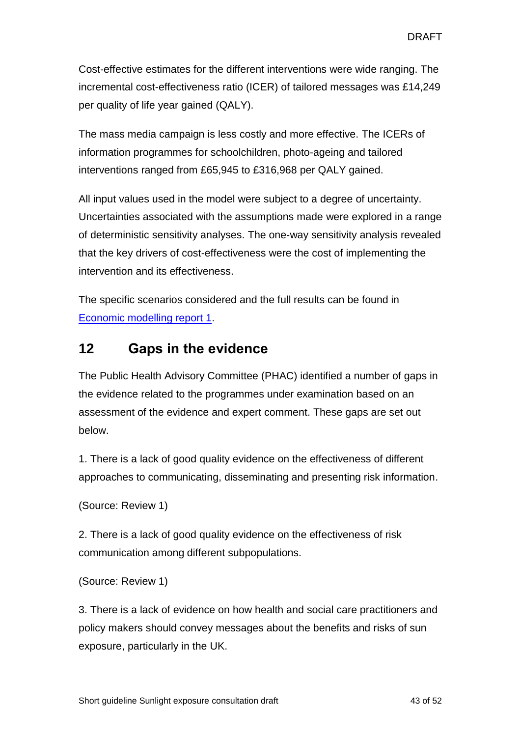Cost-effective estimates for the different interventions were wide ranging. The incremental cost-effectiveness ratio (ICER) of tailored messages was £14,249 per quality of life year gained (QALY).

The mass media campaign is less costly and more effective. The ICERs of information programmes for schoolchildren, photo-ageing and tailored interventions ranged from £65,945 to £316,968 per QALY gained.

All input values used in the model were subject to a degree of uncertainty. Uncertainties associated with the assumptions made were explored in a range of deterministic sensitivity analyses. The one-way sensitivity analysis revealed that the key drivers of cost-effectiveness were the cost of implementing the intervention and its effectiveness.

The specific scenarios considered and the full results can be found in [Economic modelling report 1.](http://www.nice.org.uk/guidance/indevelopment/gid-phg77/documents)

## <span id="page-42-0"></span>**12 Gaps in the evidence**

The Public Health Advisory Committee (PHAC) identified a number of gaps in the evidence related to the programmes under examination based on an assessment of the evidence and expert comment. These gaps are set out below.

1. There is a lack of good quality evidence on the effectiveness of different approaches to communicating, disseminating and presenting risk information.

```
(Source: Review 1)
```
2. There is a lack of good quality evidence on the effectiveness of risk communication among different subpopulations.

```
(Source: Review 1)
```
3. There is a lack of evidence on how health and social care practitioners and policy makers should convey messages about the benefits and risks of sun exposure, particularly in the UK.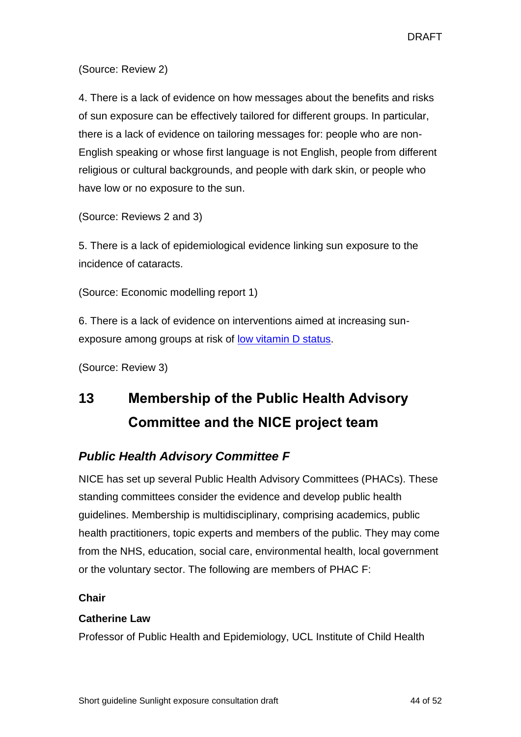(Source: Review 2)

4. There is a lack of evidence on how messages about the benefits and risks of sun exposure can be effectively tailored for different groups. In particular, there is a lack of evidence on tailoring messages for: people who are non-English speaking or whose first language is not English, people from different religious or cultural backgrounds, and people with dark skin, or people who have low or no exposure to the sun.

(Source: Reviews 2 and 3)

5. There is a lack of epidemiological evidence linking sun exposure to the incidence of cataracts.

(Source: Economic modelling report 1)

6. There is a lack of evidence on interventions aimed at increasing sunexposure among groups at risk of [low vitamin](#page-29-1) D status.

(Source: Review 3)

# <span id="page-43-0"></span>**13 Membership of the Public Health Advisory Committee and the NICE project team**

## <span id="page-43-1"></span>*Public Health Advisory Committee F*

NICE has set up several Public Health Advisory Committees (PHACs). These standing committees consider the evidence and develop public health guidelines. Membership is multidisciplinary, comprising academics, public health practitioners, topic experts and members of the public. They may come from the NHS, education, social care, environmental health, local government or the voluntary sector. The following are members of PHAC F:

#### **Chair**

#### **Catherine Law**

Professor of Public Health and Epidemiology, UCL Institute of Child Health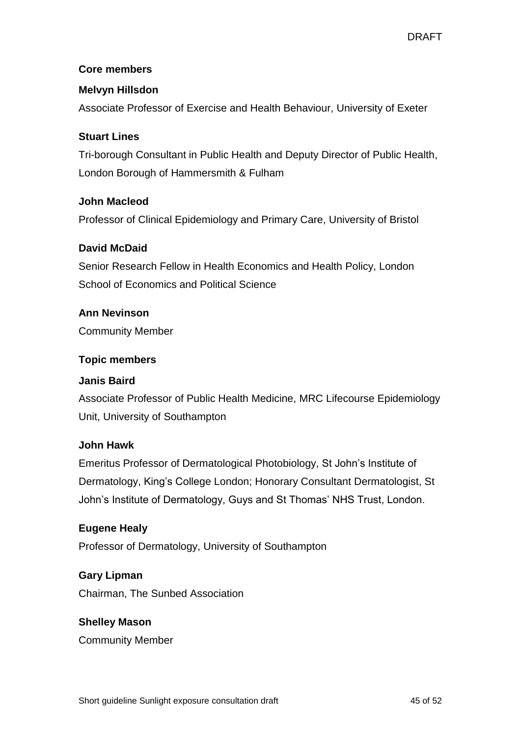#### **Core members**

#### **Melvyn Hillsdon**

Associate Professor of Exercise and Health Behaviour, University of Exeter

#### **Stuart Lines**

Tri-borough Consultant in Public Health and Deputy Director of Public Health, London Borough of Hammersmith & Fulham

#### **John Macleod**

Professor of Clinical Epidemiology and Primary Care, University of Bristol

#### **David McDaid**

Senior Research Fellow in Health Economics and Health Policy, London School of Economics and Political Science

#### **Ann Nevinson**

Community Member

#### **Topic members**

#### **Janis Baird**

Associate Professor of Public Health Medicine, MRC Lifecourse Epidemiology Unit, University of Southampton

#### **John Hawk**

Emeritus Professor of Dermatological Photobiology, St John's Institute of Dermatology, King's College London; Honorary Consultant Dermatologist, St John's Institute of Dermatology, Guys and St Thomas' NHS Trust, London.

#### **Eugene Healy**

Professor of Dermatology, University of Southampton

#### **Gary Lipman**

Chairman, The Sunbed Association

#### **Shelley Mason**

Community Member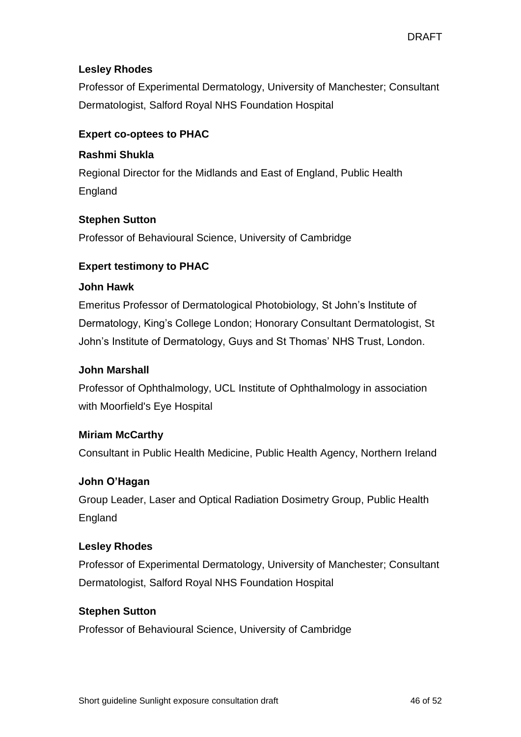#### **Lesley Rhodes**

Professor of Experimental Dermatology, University of Manchester; Consultant Dermatologist, Salford Royal NHS Foundation Hospital

#### **Expert co-optees to PHAC**

#### **Rashmi Shukla**

Regional Director for the Midlands and East of England, Public Health England

#### **Stephen Sutton**

Professor of Behavioural Science, University of Cambridge

#### **Expert testimony to PHAC**

#### **John Hawk**

Emeritus Professor of Dermatological Photobiology, St John's Institute of Dermatology, King's College London; Honorary Consultant Dermatologist, St John's Institute of Dermatology, Guys and St Thomas' NHS Trust, London.

#### **John Marshall**

Professor of Ophthalmology, UCL Institute of Ophthalmology in association with Moorfield's Eye Hospital

#### **Miriam McCarthy**

Consultant in Public Health Medicine, Public Health Agency, Northern Ireland

#### **John O'Hagan**

Group Leader, Laser and Optical Radiation Dosimetry Group, Public Health England

#### **Lesley Rhodes**

Professor of Experimental Dermatology, University of Manchester; Consultant Dermatologist, Salford Royal NHS Foundation Hospital

#### **Stephen Sutton**

Professor of Behavioural Science, University of Cambridge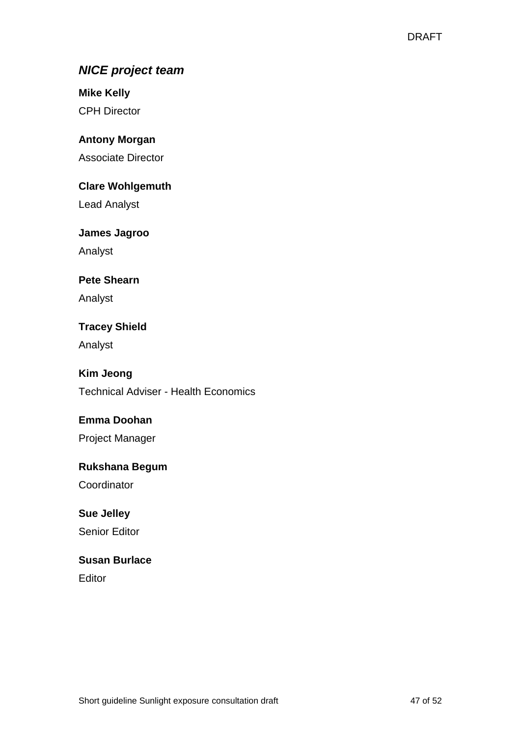## *NICE project team*

**Mike Kelly** CPH Director

**Antony Morgan**

Associate Director

**Clare Wohlgemuth**

Lead Analyst

**James Jagroo**

Analyst

### **Pete Shearn**

Analyst

**Tracey Shield**

Analyst

### **Kim Jeong**

Technical Adviser - Health Economics

### **Emma Doohan**

Project Manager

### **Rukshana Begum**

Coordinator

### **Sue Jelley**

Senior Editor

### **Susan Burlace**

Editor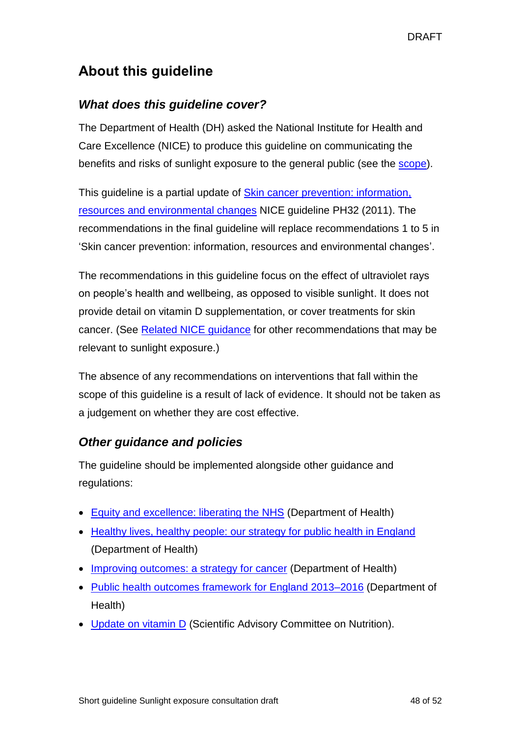## <span id="page-47-0"></span>**About this guideline**

## *What does this guideline cover?*

The Department of Health (DH) asked the National Institute for Health and Care Excellence (NICE) to produce this guideline on communicating the benefits and risks of sunlight exposure to the general public (see the [scope\)](http://www.nice.org.uk/guidance/indevelopment/gid-phg77/documents).

This guideline is a partial update of [Skin cancer prevention: information,](http://guidance.nice.org.uk/PH32)  resources and [environmental changes](http://guidance.nice.org.uk/PH32) NICE guideline PH32 (2011). The recommendations in the final guideline will replace recommendations 1 to 5 in 'Skin cancer prevention: information, resources and environmental changes'.

The recommendations in this guideline focus on the effect of ultraviolet rays on people's health and wellbeing, as opposed to visible sunlight. It does not provide detail on vitamin D supplementation, or cover treatments for skin cancer. (See Related NICE guidance for other recommendations that may be relevant to sunlight exposure.)

The absence of any recommendations on interventions that fall within the scope of this guideline is a result of lack of evidence. It should not be taken as a judgement on whether they are cost effective.

## *Other guidance and policies*

The guideline should be implemented alongside other guidance and regulations:

- [Equity and excellence: liberating the NHS](https://www.gov.uk/government/publications/equity-and-excellence-liberating-the-nhs-executive-summary) (Department of Health)
- [Healthy lives, healthy people: our strategy for public health in England](https://www.gov.uk/government/publications/healthy-lives-healthy-people-our-strategy-for-public-health-in-england) (Department of Health)
- [Improving outcomes: a strategy for cancer](https://www.gov.uk/government/publications/improving-outcomes-a-strategy-for-cancer) (Department of Health)
- [Public health outcomes framework for England 2013–2016](https://www.gov.uk/government/publications/healthy-lives-healthy-people-improving-outcomes-and-supporting-transparency) (Department of Health)
- [Update on vitamin](https://www.gov.uk/government/publications/sacn-update-on-vitamin-d-2007) D (Scientific Advisory Committee on Nutrition).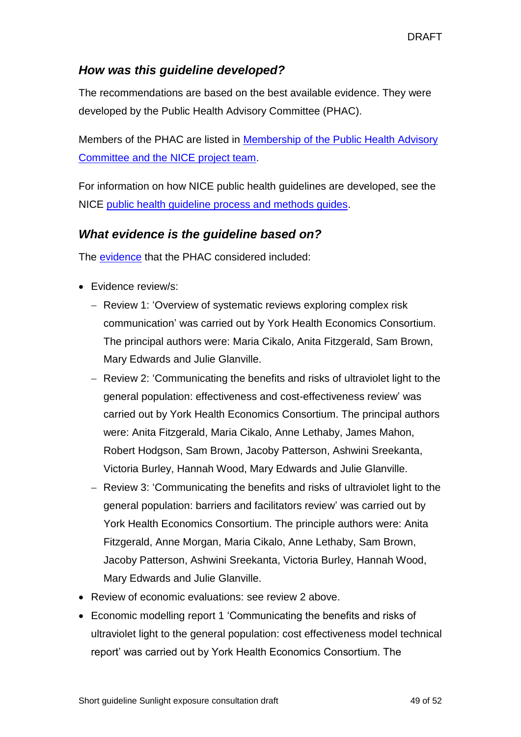### *How was this guideline developed?*

The recommendations are based on the best available evidence. They were developed by the Public Health Advisory Committee (PHAC).

Members of the PHAC are listed in [Membership of the Public Health Advisory](#page-43-1)  [Committee and the NICE project team.](#page-43-1)

For information on how NICE public health guidelines are developed, see the NICE public health guideline [process and methods guides.](http://www.nice.org.uk/about/what-we-do/our-programmes/nice-guidance/nice-guidelines/nice-public-health-guidelines)

### *What evidence is the guideline based on?*

The [evidence](http://www.nice.org.uk/guidance/indevelopment/gid-phg77/documents) that the PHAC considered included:

- Evidence review/s:
	- Review 1: 'Overview of systematic reviews exploring complex risk communication' was carried out by York Health Economics Consortium. The principal authors were: Maria Cikalo, Anita Fitzgerald, Sam Brown, Mary Edwards and Julie Glanville.
	- Review 2: 'Communicating the benefits and risks of ultraviolet light to the general population: effectiveness and cost-effectiveness review' was carried out by York Health Economics Consortium. The principal authors were: Anita Fitzgerald, Maria Cikalo, Anne Lethaby, James Mahon, Robert Hodgson, Sam Brown, Jacoby Patterson, Ashwini Sreekanta, Victoria Burley, Hannah Wood, Mary Edwards and Julie Glanville.
	- Review 3: 'Communicating the benefits and risks of ultraviolet light to the general population: barriers and facilitators review' was carried out by York Health Economics Consortium. The principle authors were: Anita Fitzgerald, Anne Morgan, Maria Cikalo, Anne Lethaby, Sam Brown, Jacoby Patterson, Ashwini Sreekanta, Victoria Burley, Hannah Wood, Mary Edwards and Julie Glanville.
- Review of economic evaluations: see review 2 above.
- Economic modelling report 1 'Communicating the benefits and risks of ultraviolet light to the general population: cost effectiveness model technical report' was carried out by York Health Economics Consortium. The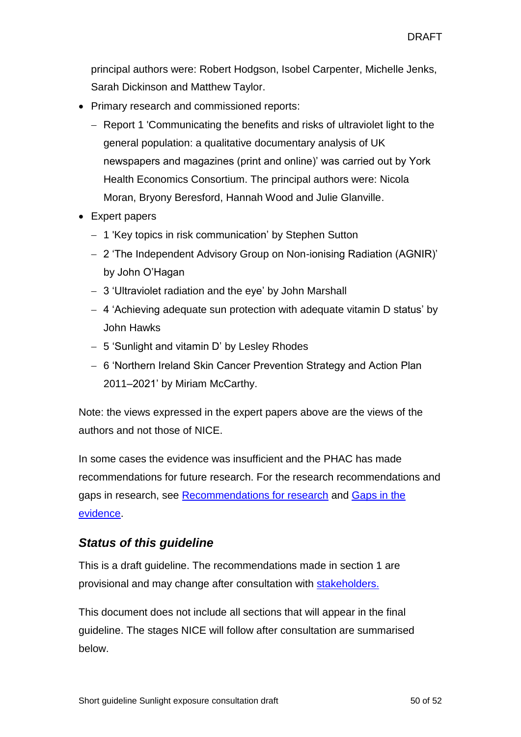principal authors were: Robert Hodgson, Isobel Carpenter, Michelle Jenks, Sarah Dickinson and Matthew Taylor.

- Primary research and commissioned reports:
	- Report 1 'Communicating the benefits and risks of ultraviolet light to the general population: a qualitative documentary analysis of UK newspapers and magazines (print and online)' was carried out by York Health Economics Consortium. The principal authors were: Nicola Moran, Bryony Beresford, Hannah Wood and Julie Glanville.
- Expert papers
	- 1 'Key topics in risk communication' by Stephen Sutton
	- 2 'The Independent Advisory Group on Non-ionising Radiation (AGNIR)' by John O'Hagan
	- 3 'Ultraviolet radiation and the eye' by John Marshall
	- 4 'Achieving adequate sun protection with adequate vitamin D status' by John Hawks
	- 5 'Sunlight and vitamin D' by Lesley Rhodes
	- 6 'Northern Ireland Skin Cancer Prevention Strategy and Action Plan 2011–2021' by Miriam McCarthy.

Note: the views expressed in the expert papers above are the views of the authors and not those of NICE.

In some cases the evidence was insufficient and the PHAC has made recommendations for future research. For the research recommendations and gaps in research, see [Recommendations for research](https://publications.nice.org.uk/uploaded-document/public-health-guidance-ph1005/preview/recommendations-for-research) and [Gaps in the](https://publications.nice.org.uk/uploaded-document/public-health-guidance-ph1005/preview/gaps-in-the-evidence)  [evidence.](https://publications.nice.org.uk/uploaded-document/public-health-guidance-ph1005/preview/gaps-in-the-evidence)

## *Status of this guideline*

This is a draft guideline. The recommendations made in section 1 are provisional and may change after consultation with **stakeholders**.

This document does not include all sections that will appear in the final guideline. The stages NICE will follow after consultation are summarised below.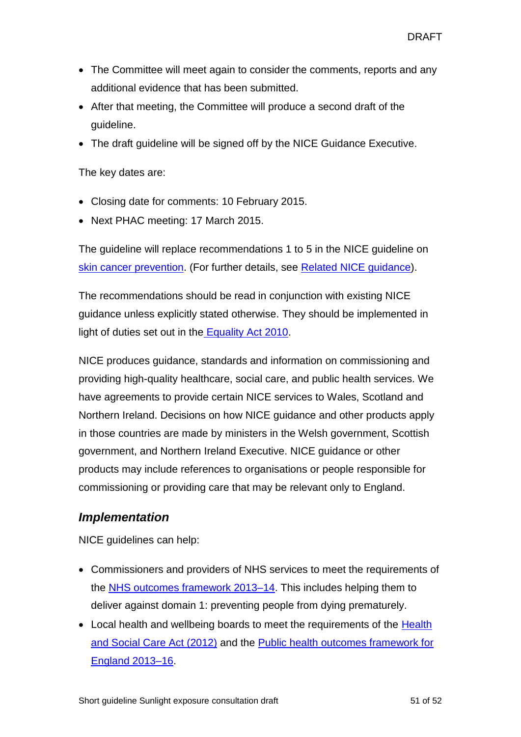- The Committee will meet again to consider the comments, reports and any additional evidence that has been submitted.
- After that meeting, the Committee will produce a second draft of the guideline.
- The draft guideline will be signed off by the NICE Guidance Executive.

The key dates are:

- Closing date for comments: 10 February 2015.
- Next PHAC meeting: 17 March 2015.

The guideline will replace recommendations 1 to 5 in the NICE guideline on [skin cancer prevention.](http://guidance.nice.org.uk/PH32) (For further details, see Related NICE guidance).

The recommendations should be read in conjunction with existing NICE guidance unless explicitly stated otherwise. They should be implemented in light of duties set out in the [Equality Act 2010.](http://www.legislation.gov.uk/ukpga/2010/15/section/149)

NICE produces guidance, standards and information on commissioning and providing high-quality healthcare, social care, and public health services. We have agreements to provide certain NICE services to Wales, Scotland and Northern Ireland. Decisions on how NICE guidance and other products apply in those countries are made by ministers in the Welsh government, Scottish government, and Northern Ireland Executive. NICE guidance or other products may include references to organisations or people responsible for commissioning or providing care that may be relevant only to England.

### *Implementation*

NICE guidelines can help:

- Commissioners and providers of NHS services to meet the requirements of the [NHS outcomes framework 2013–14.](https://www.gov.uk/government/uploads/system/uploads/attachment_data/file/127106/121109-NHS-Outcomes-Framework-2013-14.pdf.pdf) This includes helping them to deliver against domain 1: preventing people from dying prematurely.
- Local health and wellbeing boards to meet the requirements of the Health [and Social Care Act \(2012\)](http://www.legislation.gov.uk/ukpga/2012/7/contents/enacted) and the [Public health outcomes framework for](https://www.gov.uk/government/publications/public-health-outcomes-framework-update)  [England 2013–16.](https://www.gov.uk/government/publications/public-health-outcomes-framework-update)